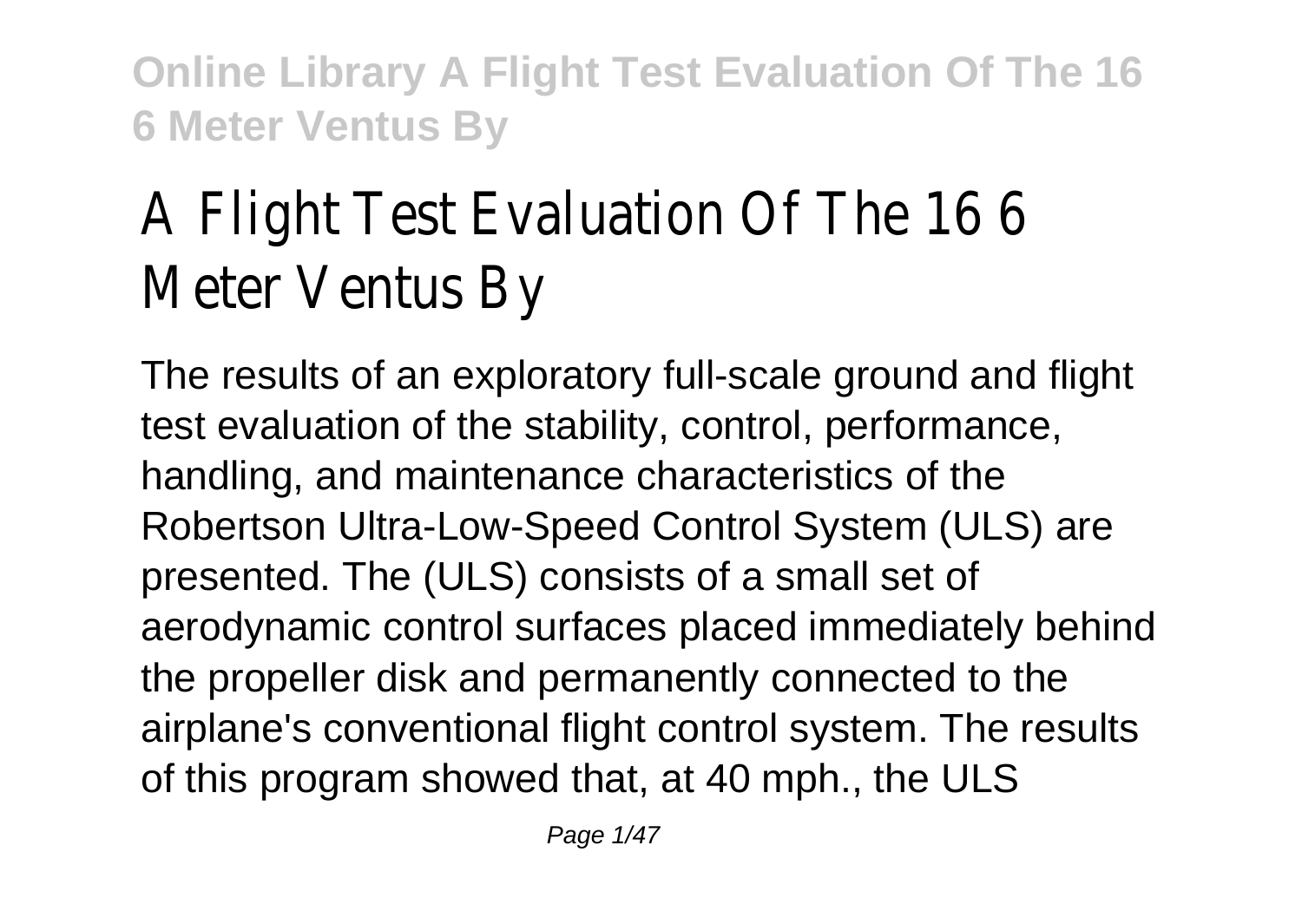# A Flight Test Evaluation Of The 16 6 Meter Ventus By

The results of an exploratory full-scale ground and flight test evaluation of the stability, control, performance, handling, and maintenance characteristics of the Robertson Ultra-Low-Speed Control System (ULS) are presented. The (ULS) consists of a small set of aerodynamic control surfaces placed immediately behind the propeller disk and permanently connected to the airplane's conventional flight control system. The results of this program showed that, at 40 mph., the ULS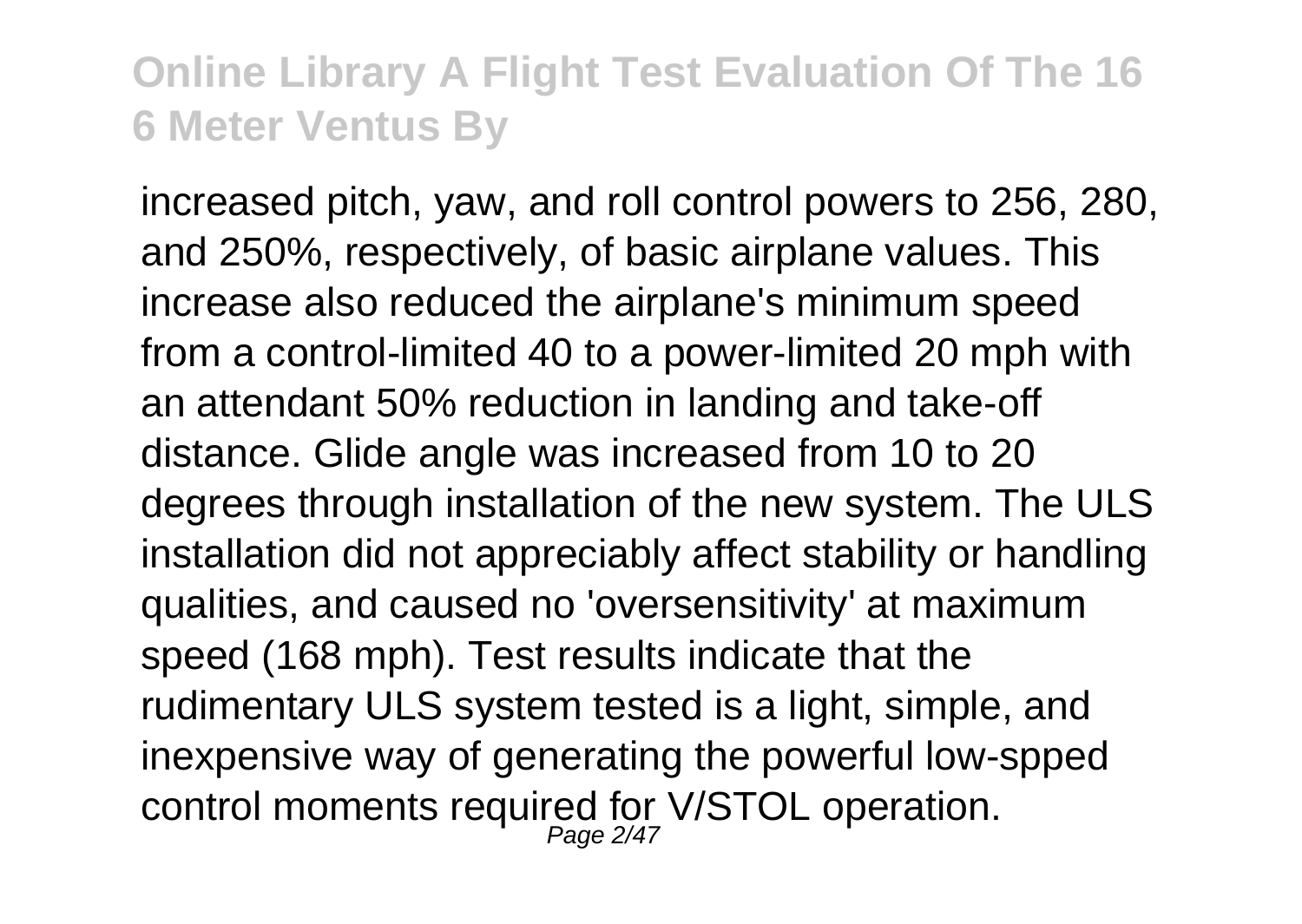increased pitch, yaw, and roll control powers to 256, 280, and 250%, respectively, of basic airplane values. This increase also reduced the airplane's minimum speed from a control-limited 40 to a power-limited 20 mph with an attendant 50% reduction in landing and take-off distance. Glide angle was increased from 10 to 20 degrees through installation of the new system. The ULS installation did not appreciably affect stability or handling qualities, and caused no 'oversensitivity' at maximum speed (168 mph). Test results indicate that the rudimentary ULS system tested is a light, simple, and inexpensive way of generating the powerful low-spped control moments required for V/STOL operation.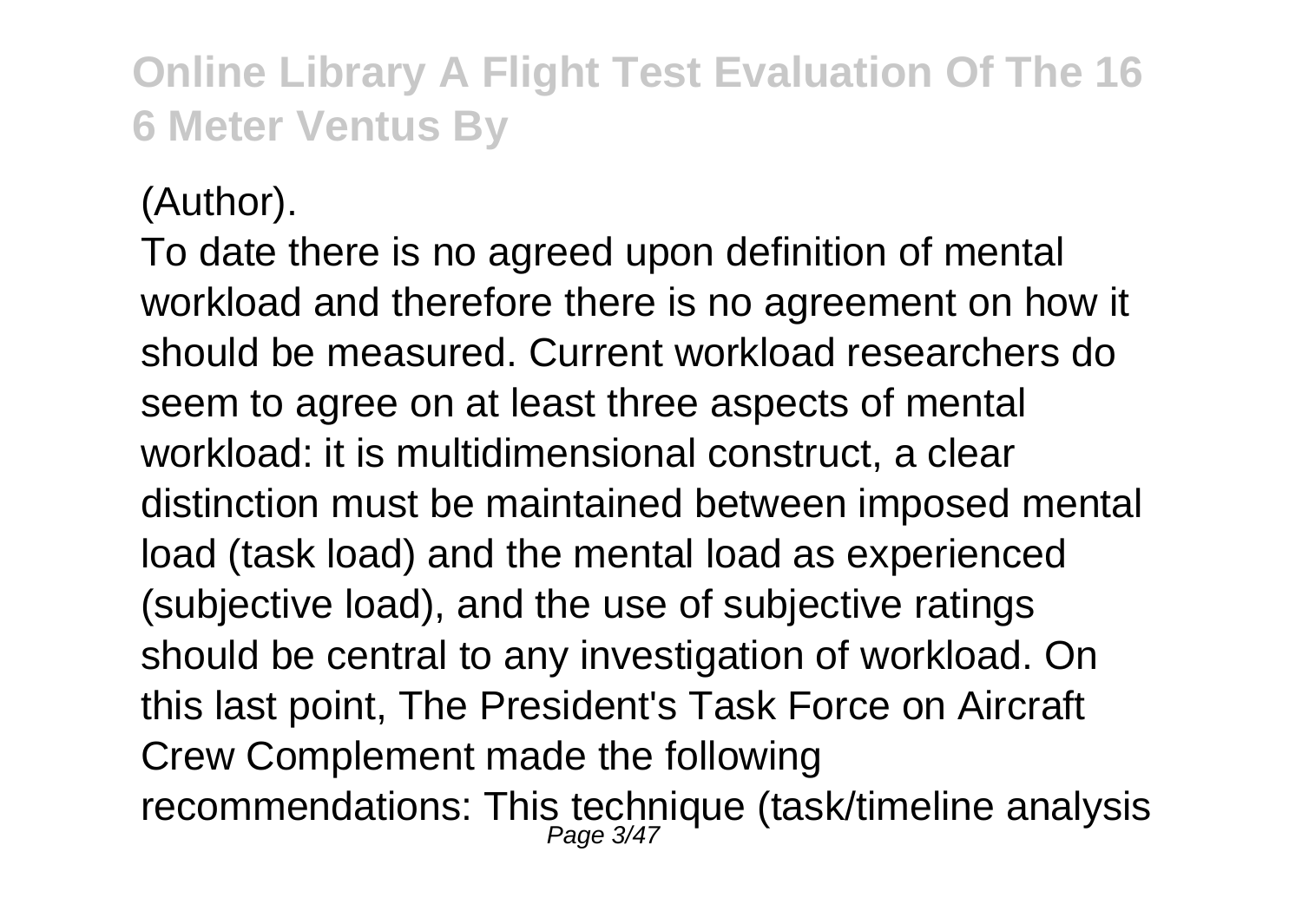(Author).

To date there is no agreed upon definition of mental workload and therefore there is no agreement on how it should be measured. Current workload researchers do seem to agree on at least three aspects of mental workload: it is multidimensional construct, a clear distinction must be maintained between imposed mental load (task load) and the mental load as experienced (subjective load), and the use of subjective ratings should be central to any investigation of workload. On this last point, The President's Task Force on Aircraft Crew Complement made the following recommendations: This technique (task/timeline analysis<br>Page 3/47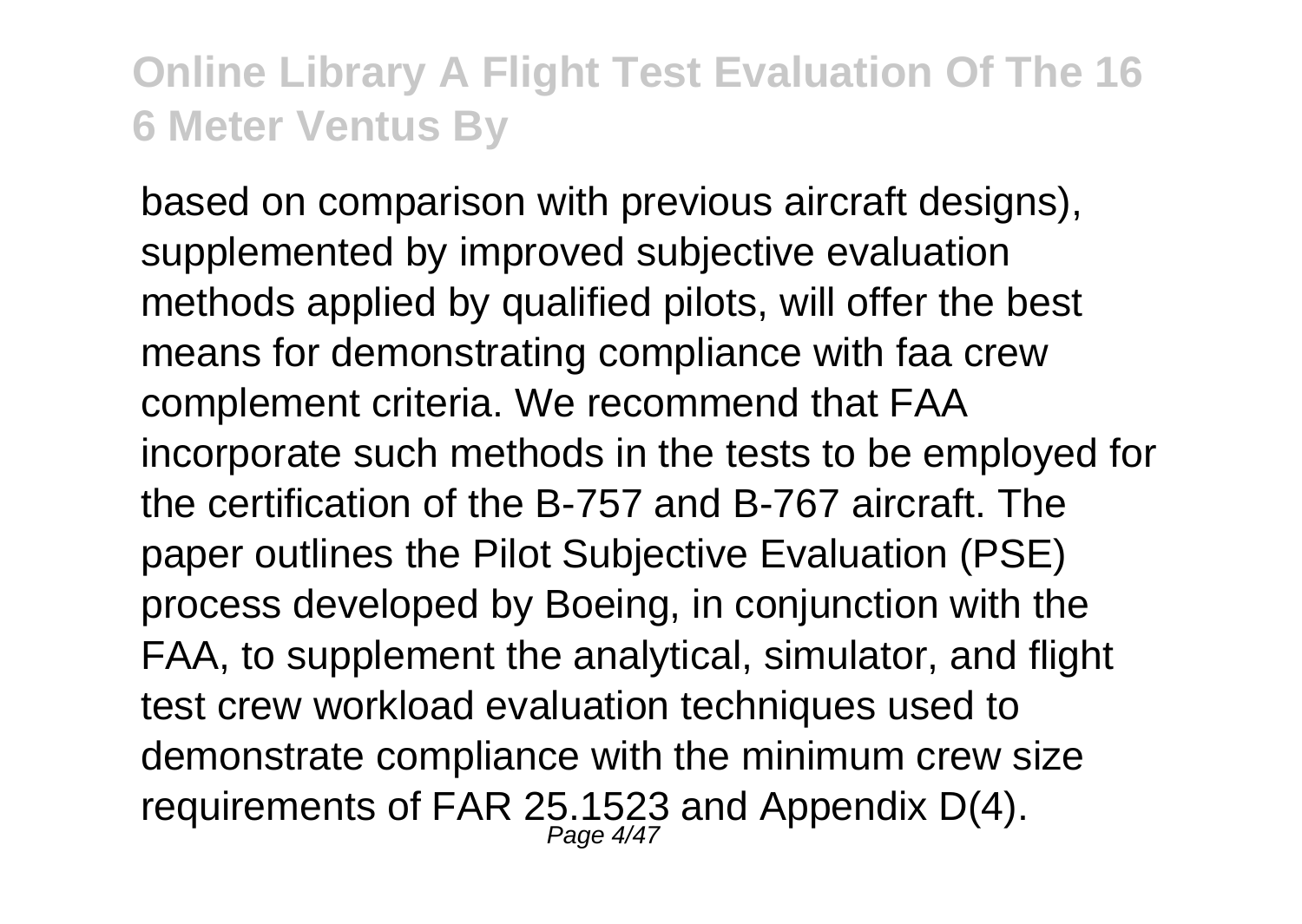based on comparison with previous aircraft designs), supplemented by improved subjective evaluation methods applied by qualified pilots, will offer the best means for demonstrating compliance with faa crew complement criteria. We recommend that FAA incorporate such methods in the tests to be employed for the certification of the B-757 and B-767 aircraft. The paper outlines the Pilot Subjective Evaluation (PSE) process developed by Boeing, in conjunction with the FAA, to supplement the analytical, simulator, and flight test crew workload evaluation techniques used to demonstrate compliance with the minimum crew size requirements of FAR 25.1523 and Appendix D(4).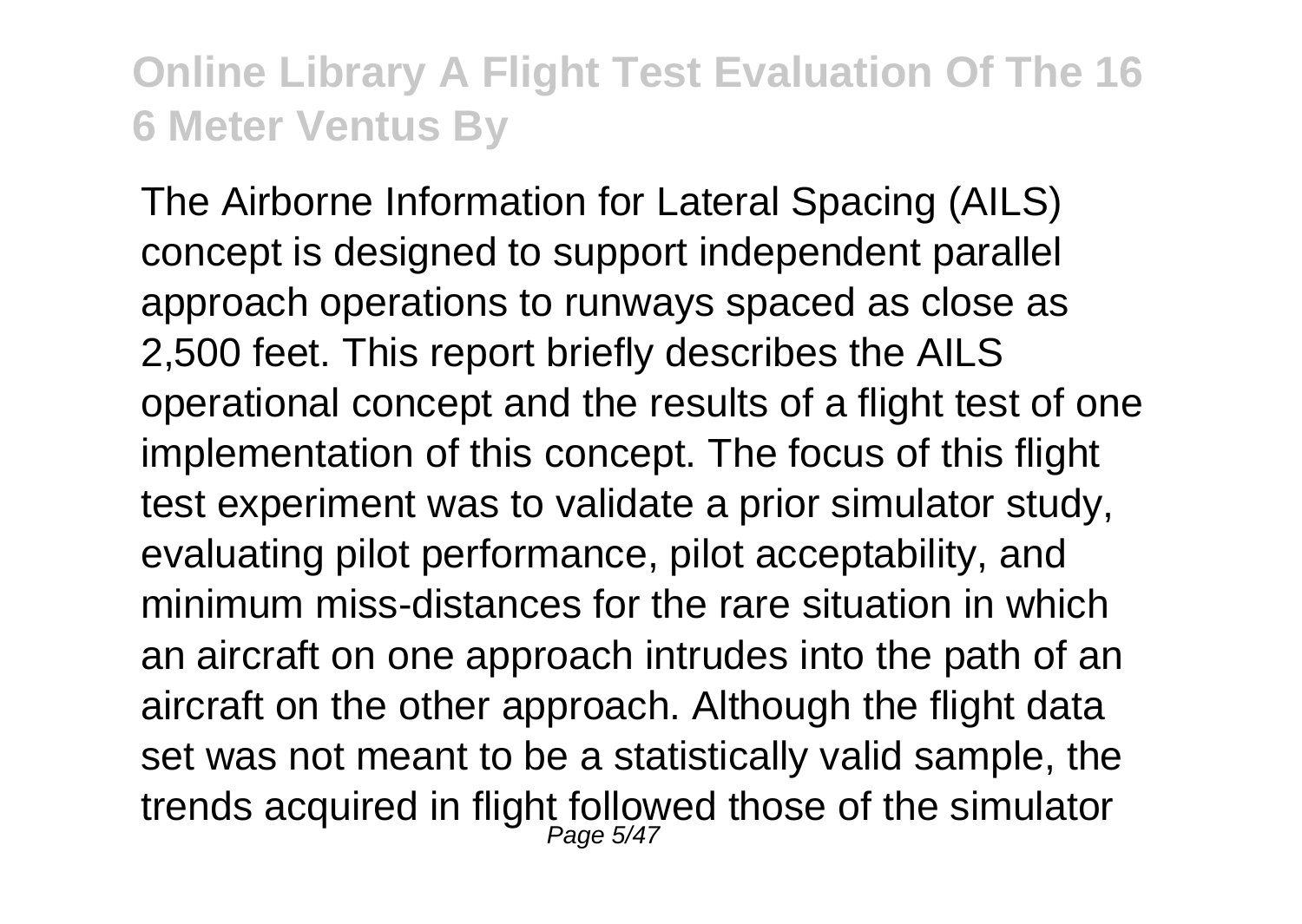The Airborne Information for Lateral Spacing (AILS) concept is designed to support independent parallel approach operations to runways spaced as close as 2,500 feet. This report briefly describes the AILS operational concept and the results of a flight test of one implementation of this concept. The focus of this flight test experiment was to validate a prior simulator study, evaluating pilot performance, pilot acceptability, and minimum miss-distances for the rare situation in which an aircraft on one approach intrudes into the path of an aircraft on the other approach. Although the flight data set was not meant to be a statistically valid sample, the trends acquired in flight followed those of the simulator<br>Page 5/47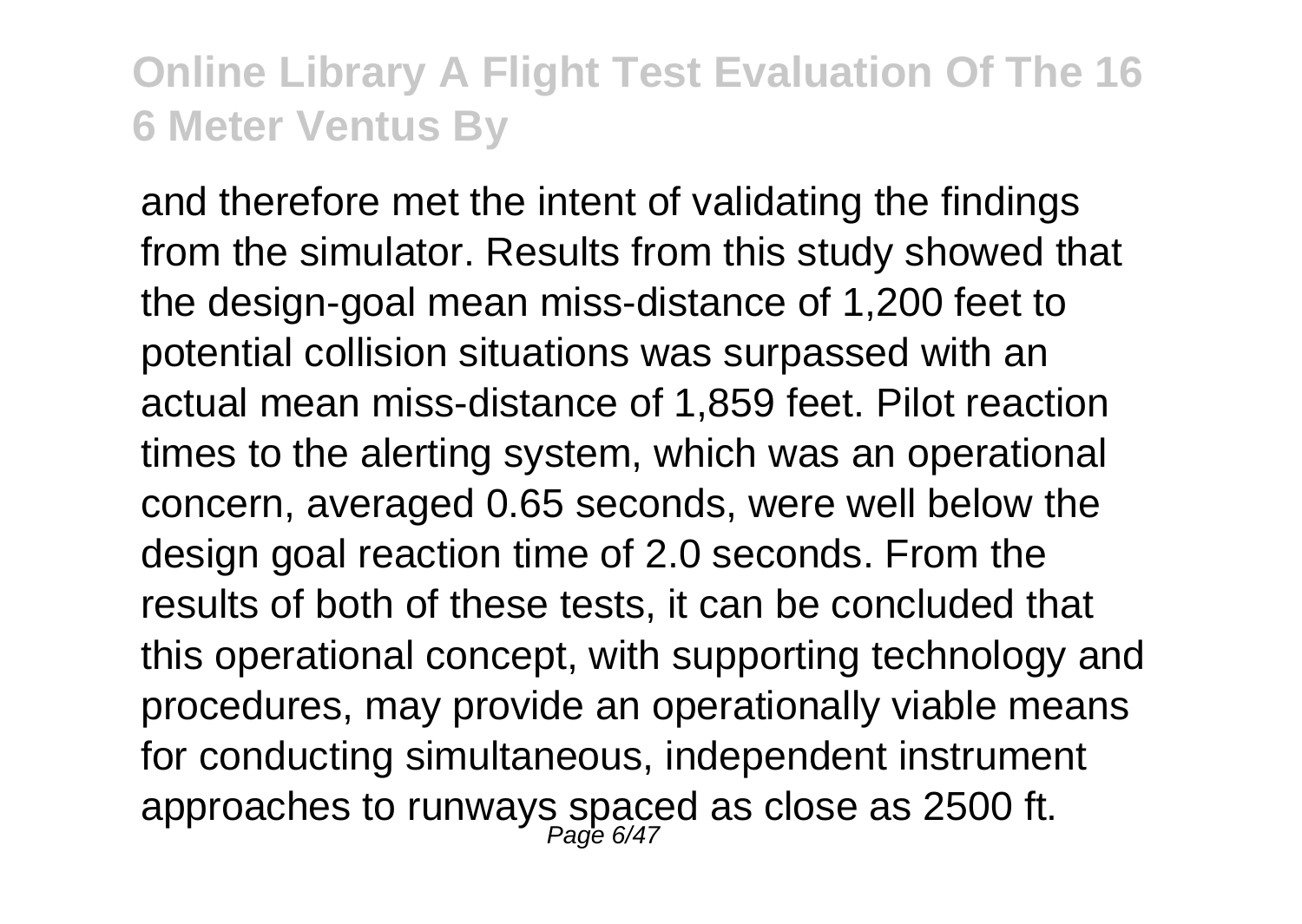and therefore met the intent of validating the findings from the simulator. Results from this study showed that the design-goal mean miss-distance of 1,200 feet to potential collision situations was surpassed with an actual mean miss-distance of 1,859 feet. Pilot reaction times to the alerting system, which was an operational concern, averaged 0.65 seconds, were well below the design goal reaction time of 2.0 seconds. From the results of both of these tests, it can be concluded that this operational concept, with supporting technology and procedures, may provide an operationally viable means for conducting simultaneous, independent instrument approaches to runways spaced as close as 2500 ft.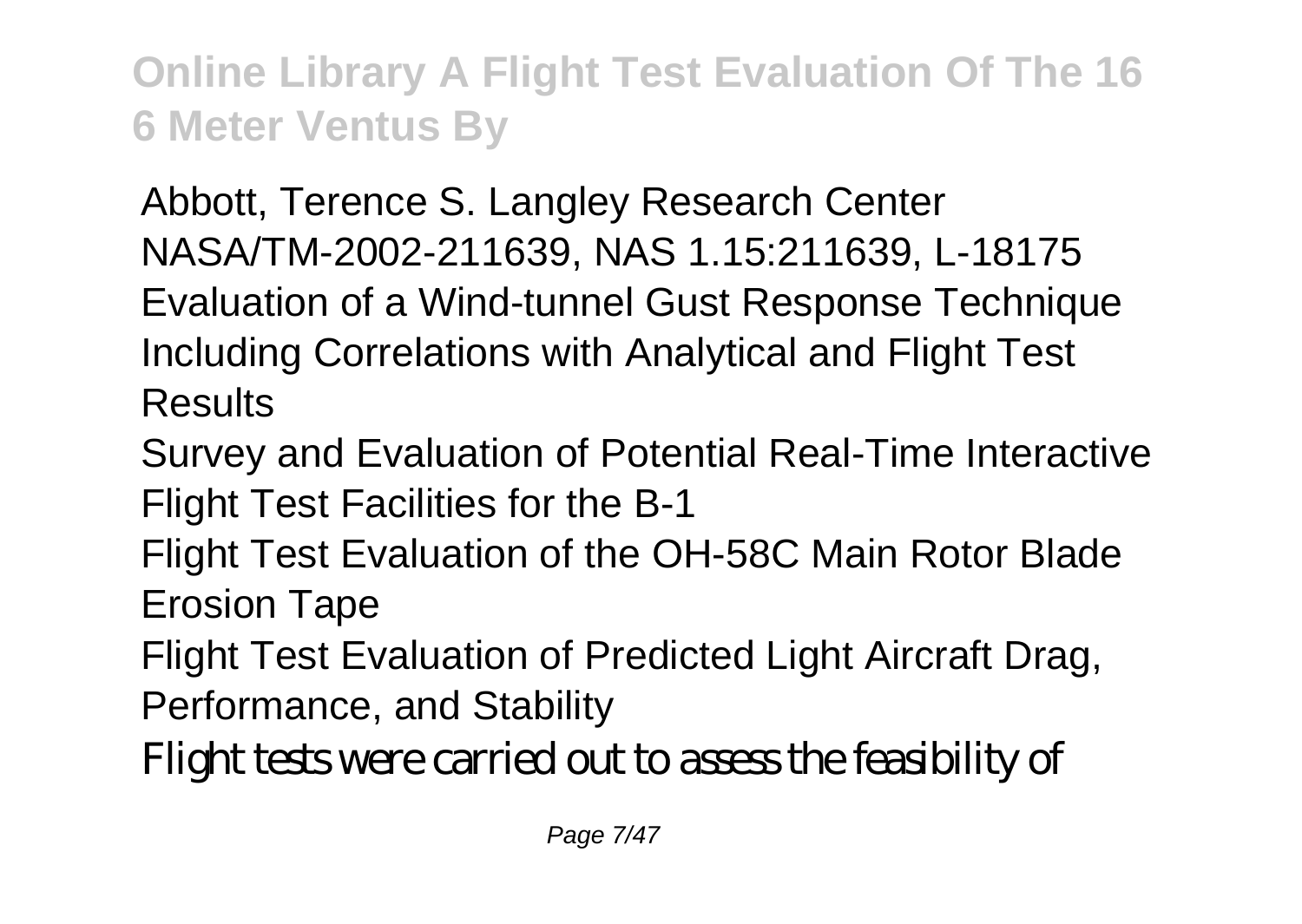Abbott, Terence S. Langley Research Center NASA/TM-2002-211639, NAS 1.15:211639, L-18175 Evaluation of a Wind-tunnel Gust Response Technique Including Correlations with Analytical and Flight Test Results

Survey and Evaluation of Potential Real-Time Interactive Flight Test Facilities for the B-1

Flight Test Evaluation of the OH-58C Main Rotor Blade Erosion Tape

Flight Test Evaluation of Predicted Light Aircraft Drag, Performance, and Stability

Flight tests were carried out to assess the feasibility of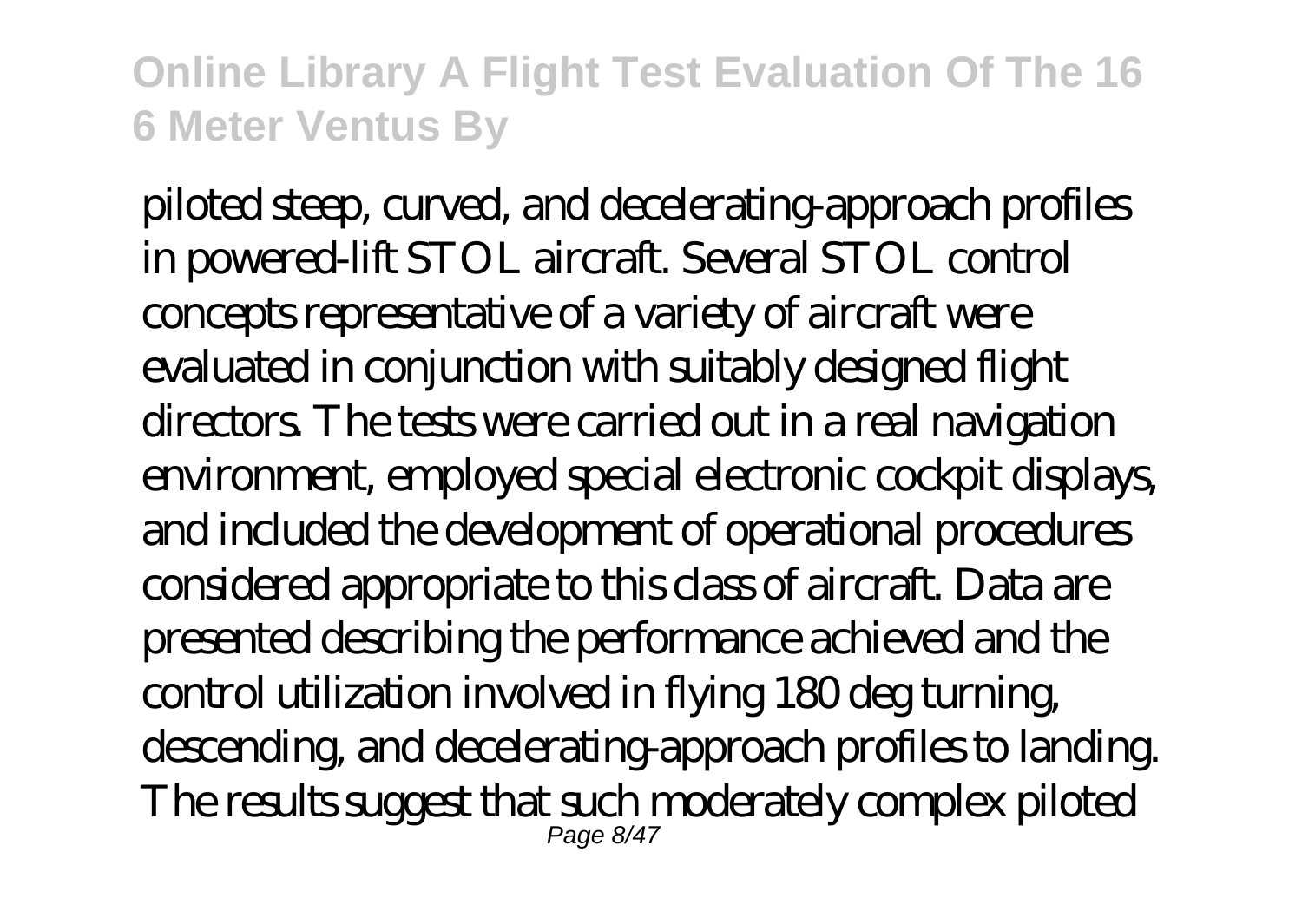piloted steep, curved, and decelerating-approach profiles in powered-lift STOL aircraft. Several STOL control concepts representative of a variety of aircraft were evaluated in conjunction with suitably designed flight directors. The tests were carried out in a real navigation environment, employed special electronic cockpit displays, and included the development of operational procedures considered appropriate to this class of aircraft. Data are presented describing the performance achieved and the control utilization involved in flying 180 deg turning, descending, and decelerating-approach profiles to landing. The results suggest that such moderately complex piloted Page 8/47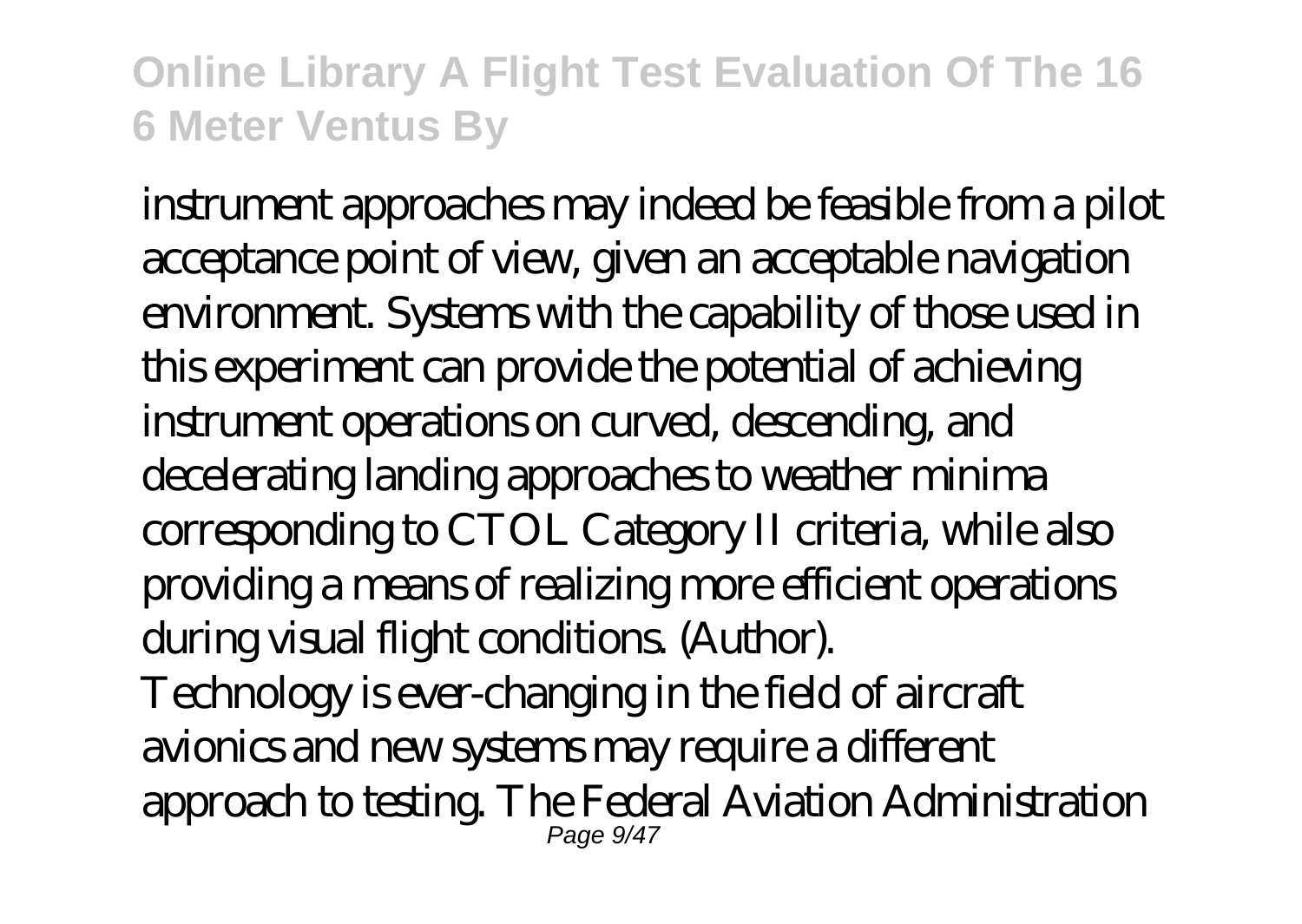instrument approaches may indeed be feasible from a pilot acceptance point of view, given an acceptable navigation environment. Systems with the capability of those used in this experiment can provide the potential of achieving instrument operations on curved, descending, and decelerating landing approaches to weather minima corresponding to CTOL Category II criteria, while also providing a means of realizing more efficient operations during visual flight conditions. (Author). Technology is ever-changing in the field of aircraft avionics and new systems may require a different approach to testing. The Federal Aviation Administration Page 9/47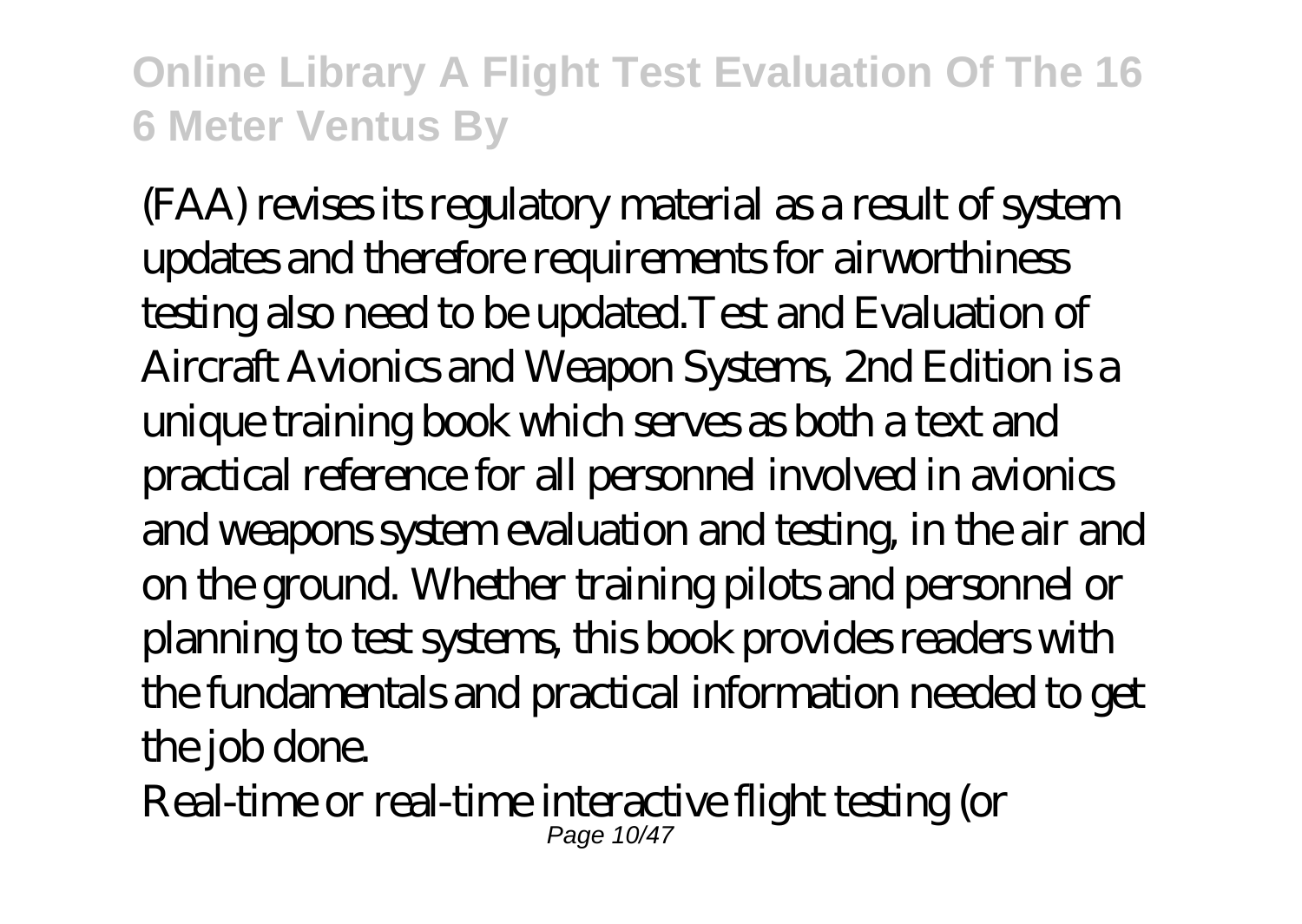(FAA) revises its regulatory material as a result of system updates and therefore requirements for airworthiness testing also need to be updated.Test and Evaluation of Aircraft Avionics and Weapon Systems, 2nd Edition is a unique training book which serves as both a text and practical reference for all personnel involved in avionics and weapons system evaluation and testing, in the air and on the ground. Whether training pilots and personnel or planning to test systems, this book provides readers with the fundamentals and practical information needed to get the job done.

Real-time or real-time interactive flight testing (or Page 10/47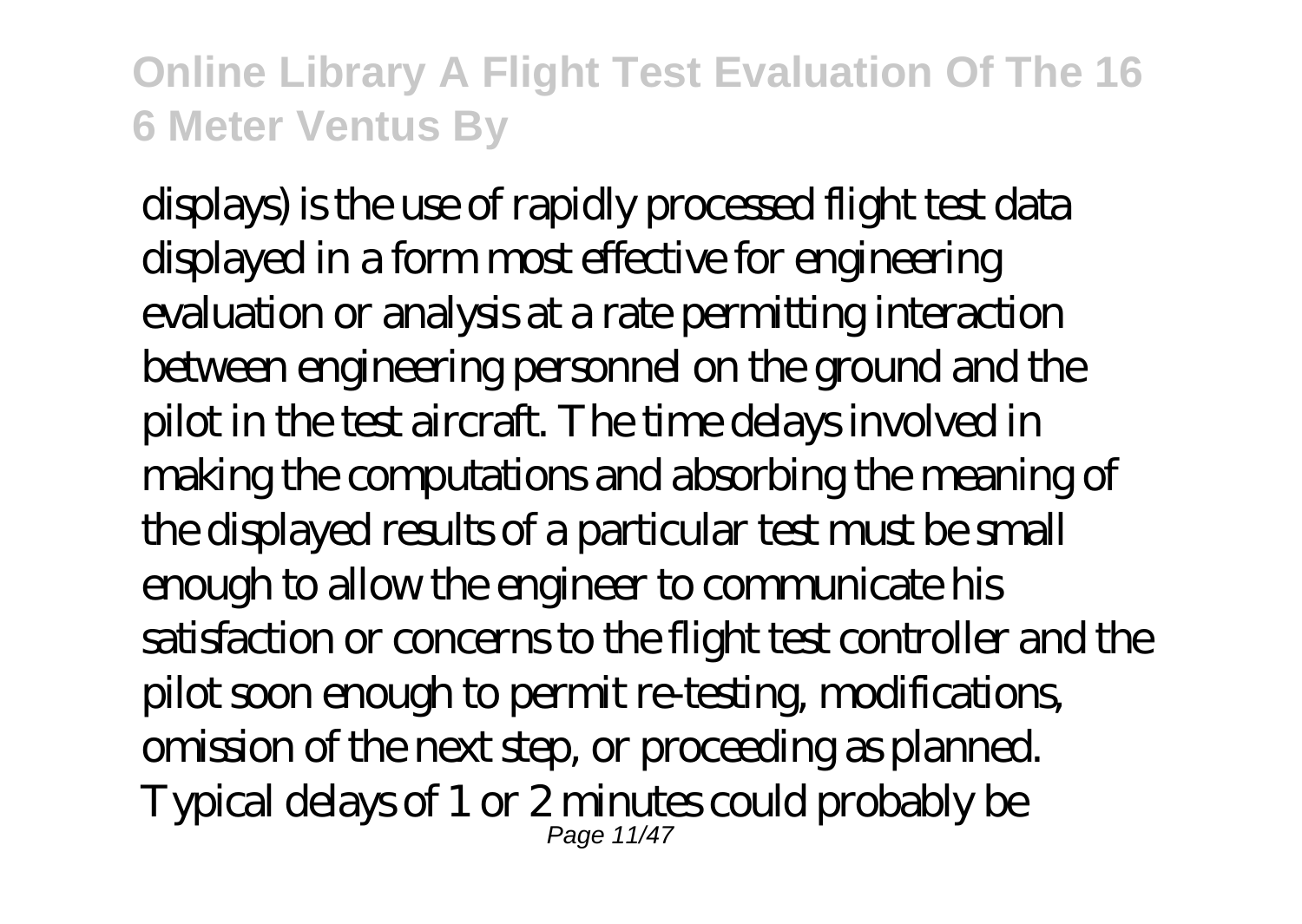displays) is the use of rapidly processed flight test data displayed in a form most effective for engineering evaluation or analysis at a rate permitting interaction between engineering personnel on the ground and the pilot in the test aircraft. The time delays involved in making the computations and absorbing the meaning of the displayed results of a particular test must be small enough to allow the engineer to communicate his satisfaction or concerns to the flight test controller and the pilot soon enough to permit re-testing, modifications, omission of the next step, or proceeding as planned. Typical delays of 1 or 2 minutes could probably be Page 11/47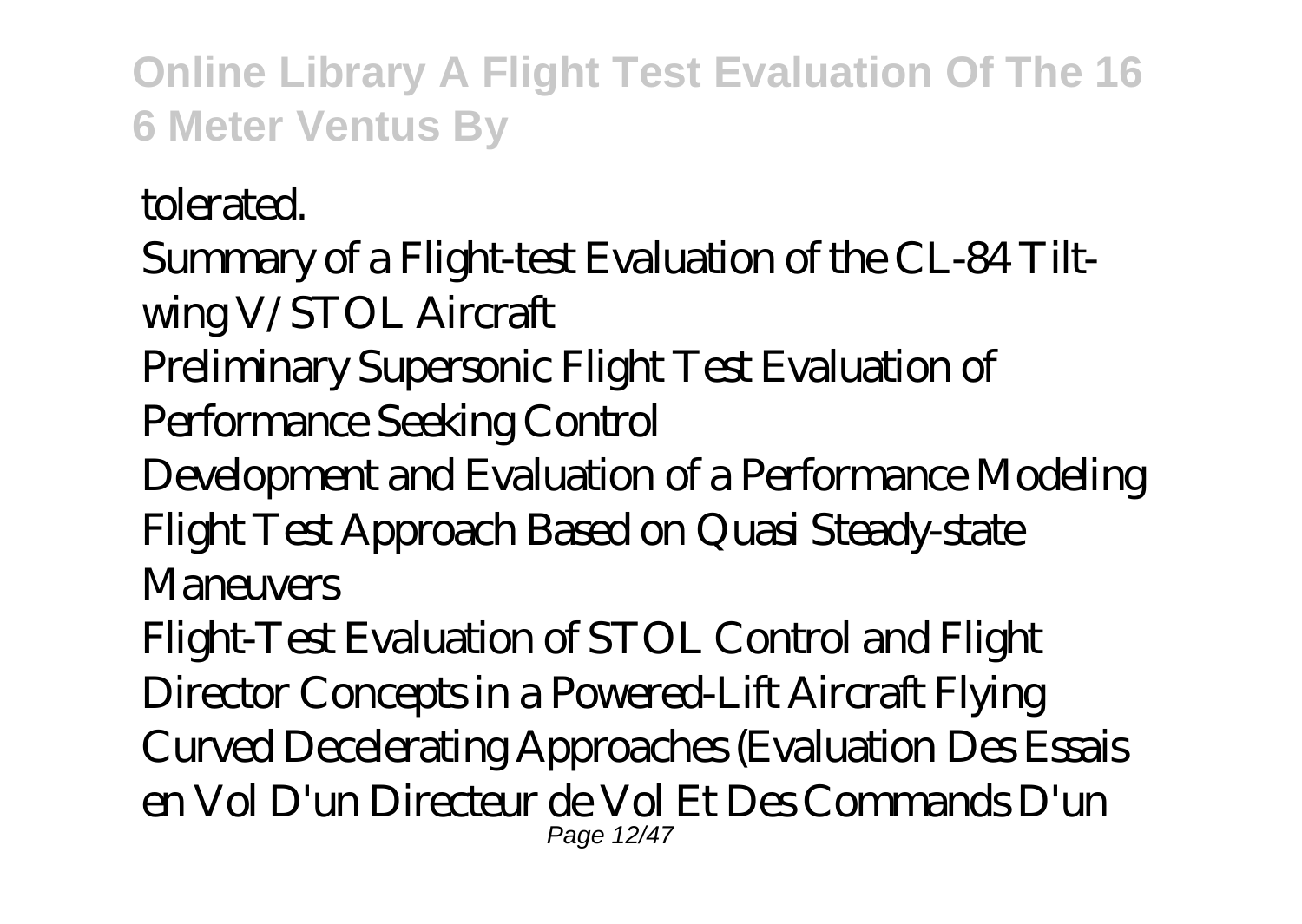tolerated.

Summary of a Flight-test Evaluation of the CL-84 Tiltwing V/STOL Aircraft

Preliminary Supersonic Flight Test Evaluation of

Performance Seeking Control

Development and Evaluation of a Performance Modeling Flight Test Approach Based on Quasi Steady-state **Maneuvers** 

Flight-Test Evaluation of STOL Control and Flight Director Concepts in a Powered-Lift Aircraft Flying Curved Decelerating Approaches (Evaluation Des Essais en Vol D'un Directeur de Vol Et Des Commands D'un Page 12/47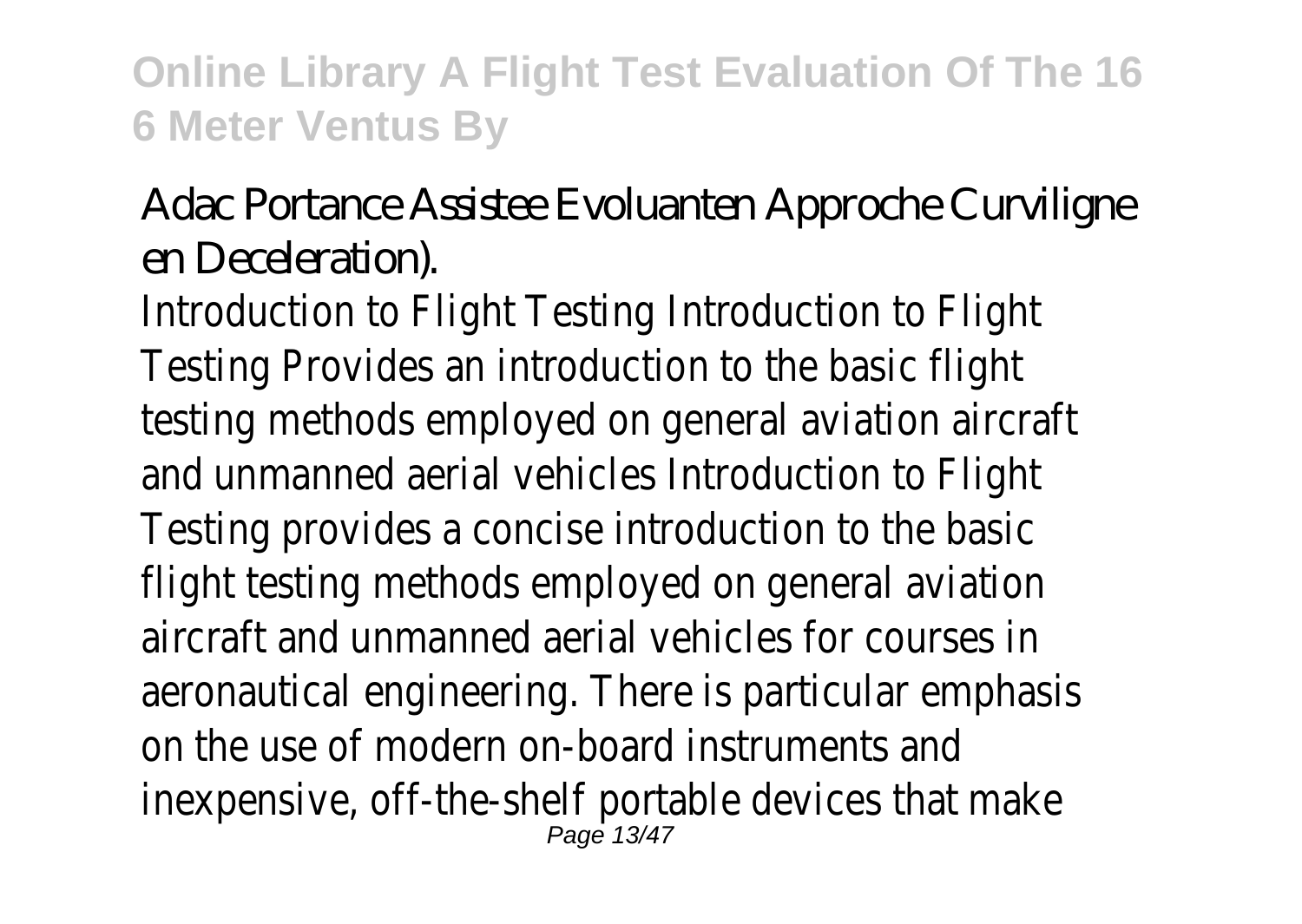## Adac Portance Assistee Evoluanten Approche Curviligne en Deceleration).

Introduction to Flight Testing Introduction to Flight Testing Provides an introduction to the basic flight testing methods employed on general aviation aircraft and unmanned aerial vehicles Introduction to Flight Testing provides a concise introduction to the basic flight testing methods employed on general aviation aircraft and unmanned aerial vehicles for courses in aeronautical engineering. There is particular emphasis on the use of modern on-board instruments and inexpensive, off-the-shelf portable devices that make Page 13/47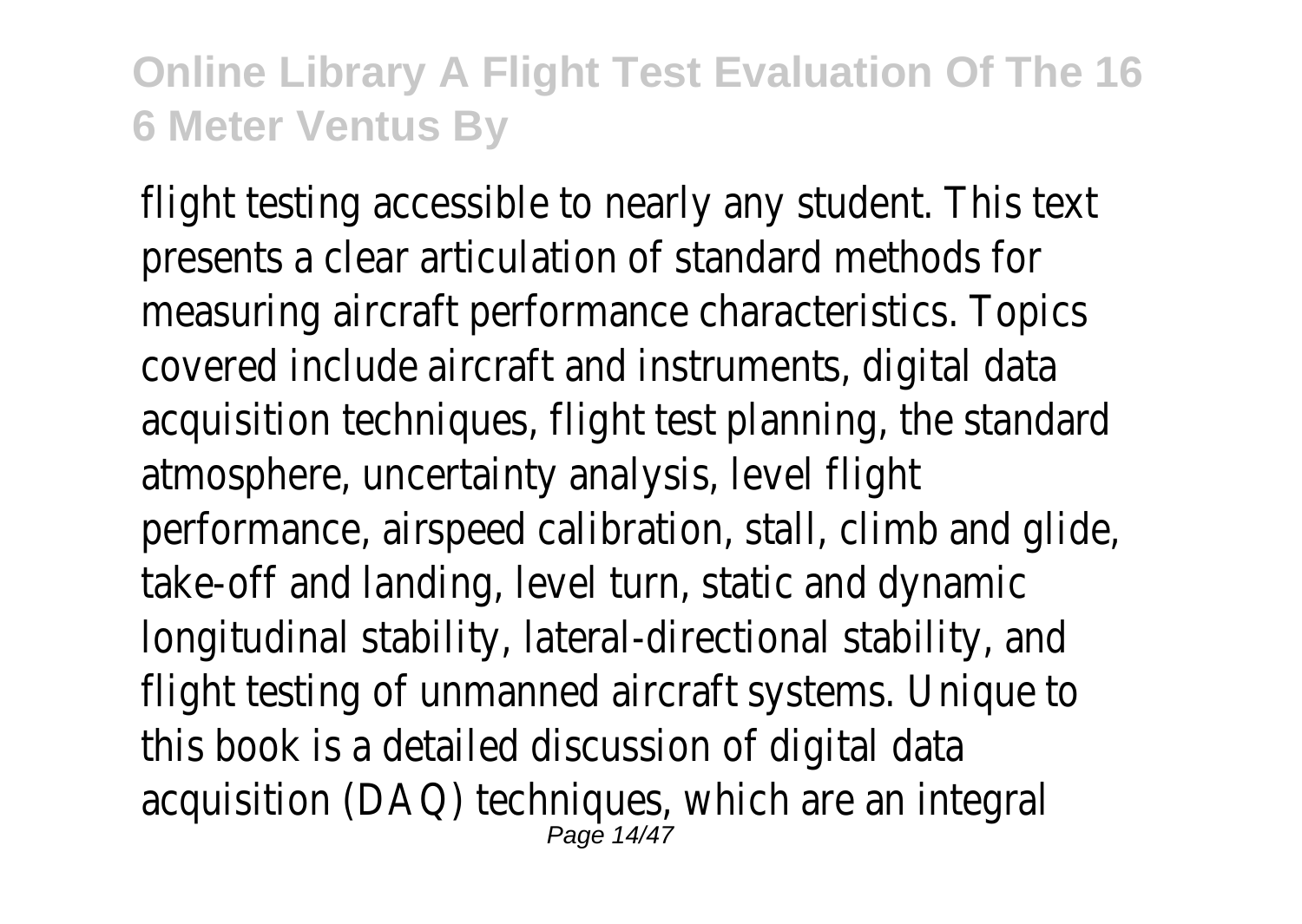flight testing accessible to nearly any student. This text presents a clear articulation of standard methods for measuring aircraft performance characteristics. Topics covered include aircraft and instruments, digital data acquisition techniques, flight test planning, the standard atmosphere, uncertainty analysis, level flight performance, airspeed calibration, stall, climb and glide, take-off and landing, level turn, static and dynamic longitudinal stability, lateral-directional stability, and flight testing of unmanned aircraft systems. Unique to this book is a detailed discussion of digital data acquisition (DAQ) techniques, which are an integral<br>Page 14/47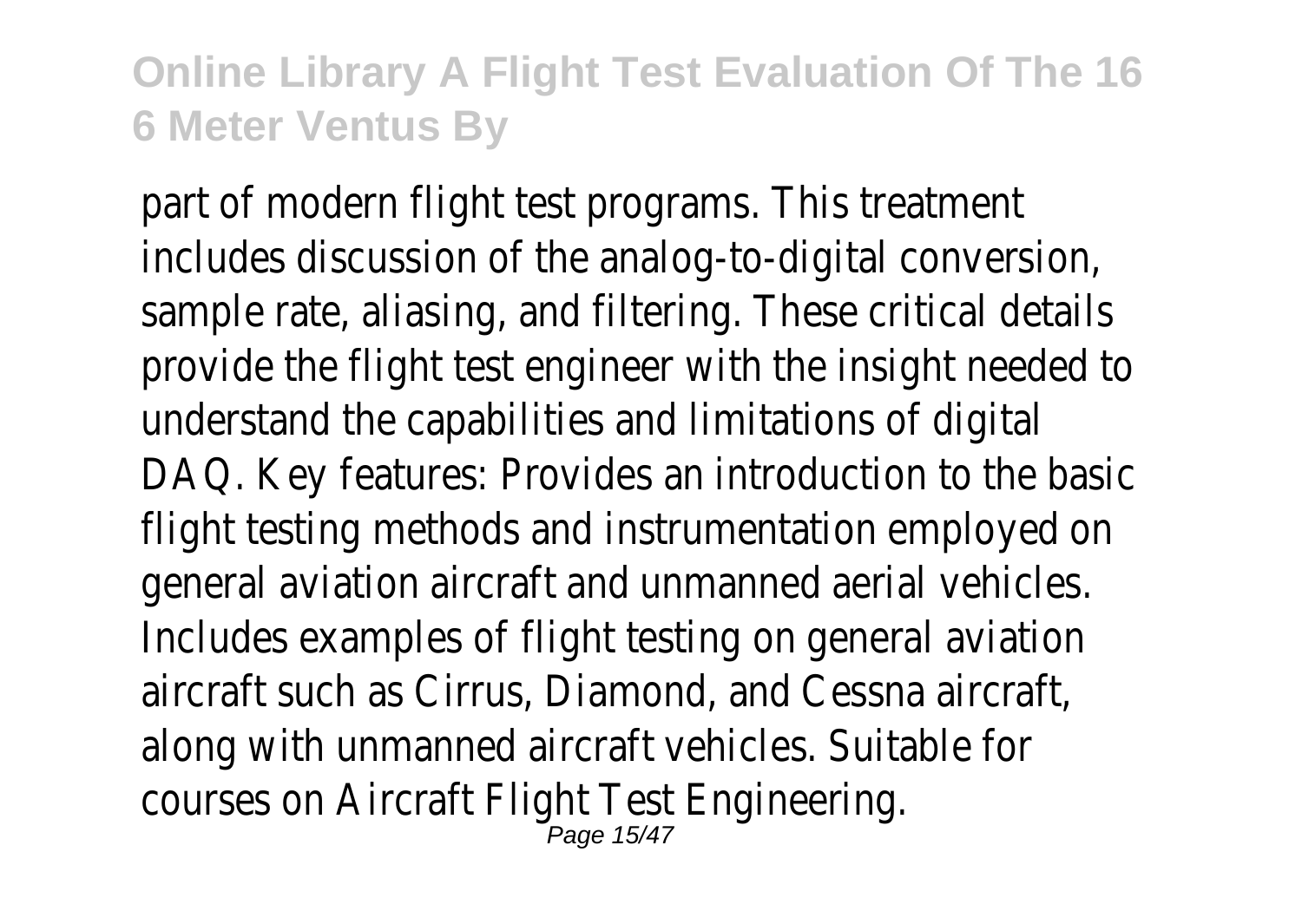part of modern flight test programs. This treatment includes discussion of the analog-to-digital conversion, sample rate, aliasing, and filtering. These critical details provide the flight test engineer with the insight neede understand the capabilities and limitations of digital DAQ. Key features: Provides an introduction to the base flight testing methods and instrumentation employed on general aviation aircraft and unmanned aerial vehicles. Includes examples of flight testing on general aviation aircraft such as Cirrus, Diamond, and Cessna aircraft, along with unmanned aircraft vehicles. Suitable for courses on Aircraft Flight Test Engineering.<br>Page 15/47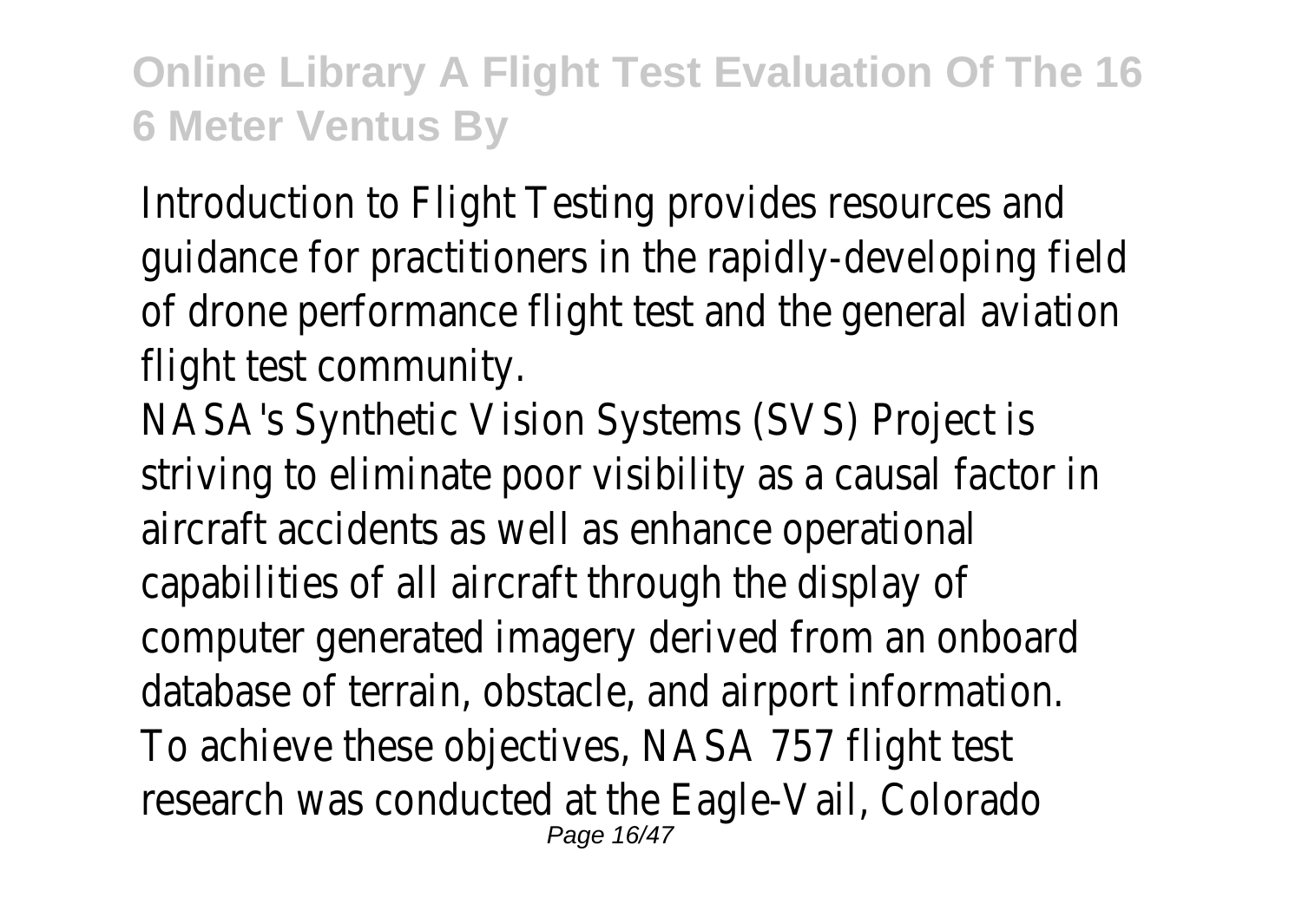Introduction to Flight Testing provides resources and quidance for practitioners in the rapidly-developing fiel of drone performance flight test and the general aviat flight test community.

NASA's Synthetic Vision Systems (SVS) Project is striving to eliminate poor visibility as a causal factor in aircraft accidents as well as enhance operational capabilities of all aircraft through the display of computer generated imagery derived from an onboard database of terrain, obstacle, and airport information. To achieve these objectives, NASA 757 flight test research was conducted at the Eagle-Vail, Colorado Page 16/47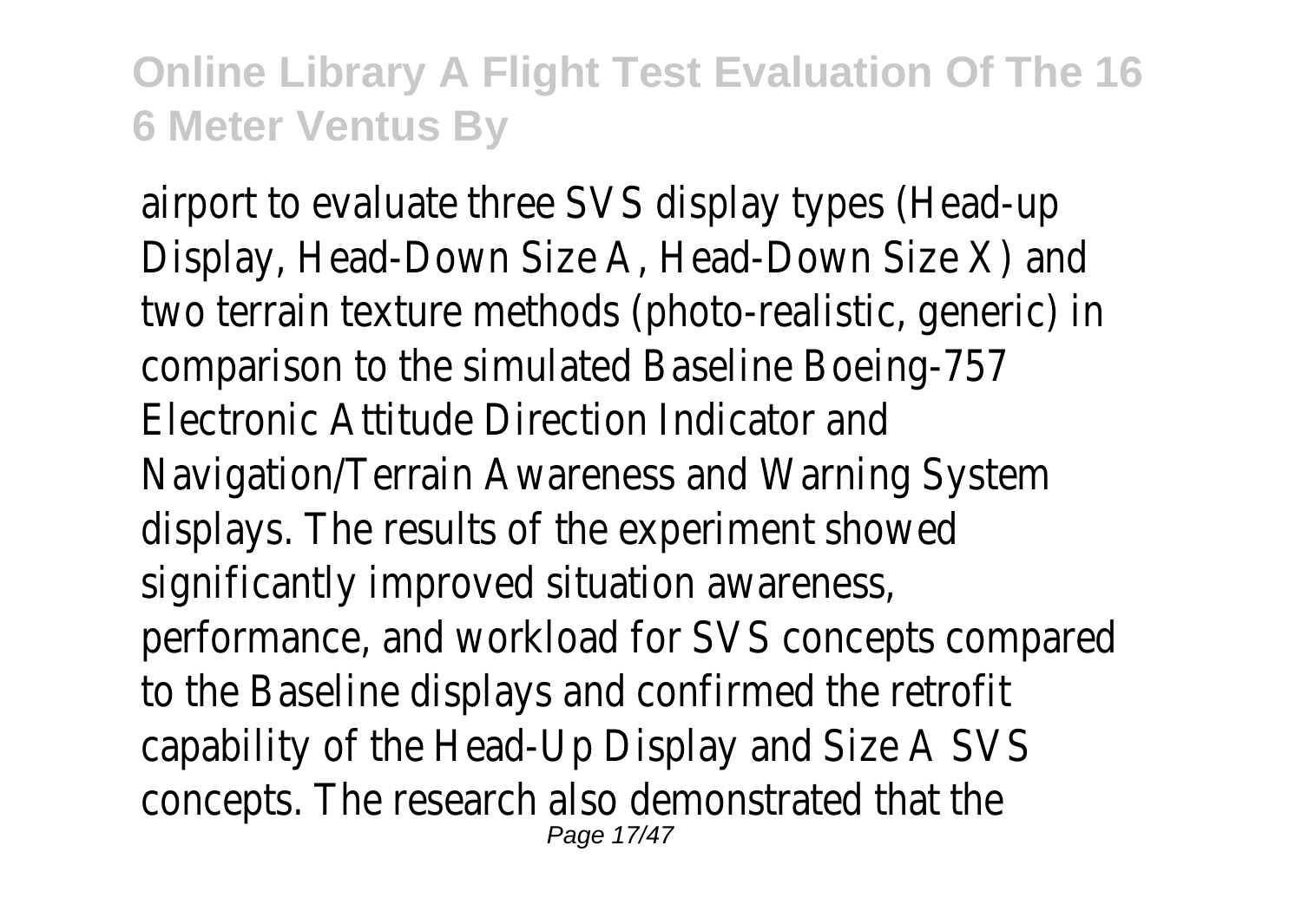airport to evaluate three SVS display types (Head-up Display, Head-Down Size A, Head-Down Size X) and two terrain texture methods (photo-realistic, generic) comparison to the simulated Baseline Boeing-757 Electronic Attitude Direction Indicator and Navigation/Terrain Awareness and Warning System displays. The results of the experiment showed significantly improved situation awareness, performance, and workload for SVS concepts compared to the Baseline displays and confirmed the retrofit capability of the Head-Up Display and Size A SVS concepts. The research also demonstrated that the Page 17/47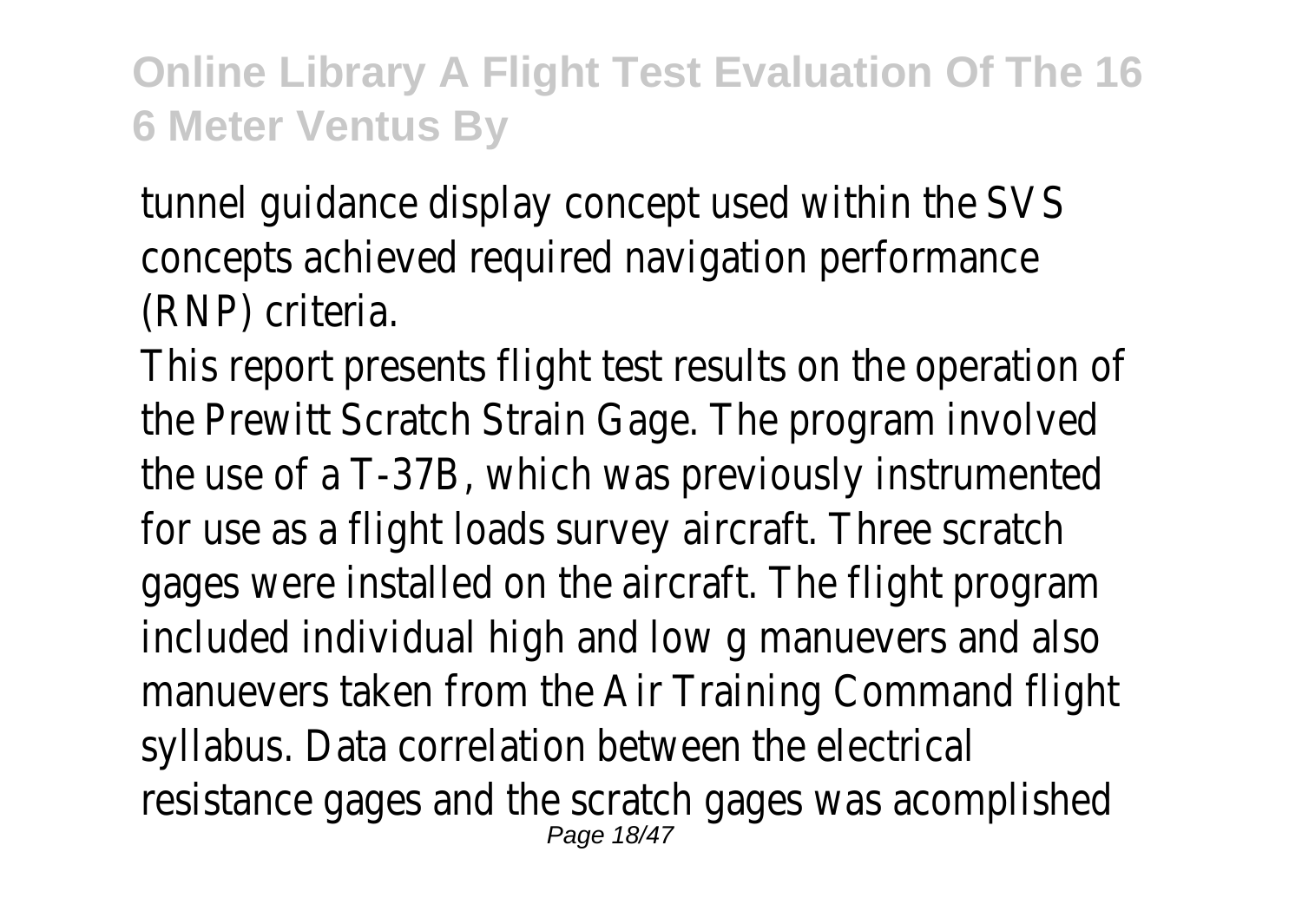tunnel guidance display concept used within the SVS concepts achieved required navigation performance (RNP) criteria.

This report presents flight test results on the operation the Prewitt Scratch Strain Gage. The program involved the use of a T-37B, which was previously instrumented for use as a flight loads survey aircraft. Three scratch gages were installed on the aircraft. The flight program included individual high and low g manuevers and also manuevers taken from the Air Training Command flight syllabus. Data correlation between the electrical resistance gages and the scratch gages was acomplished Page 18/47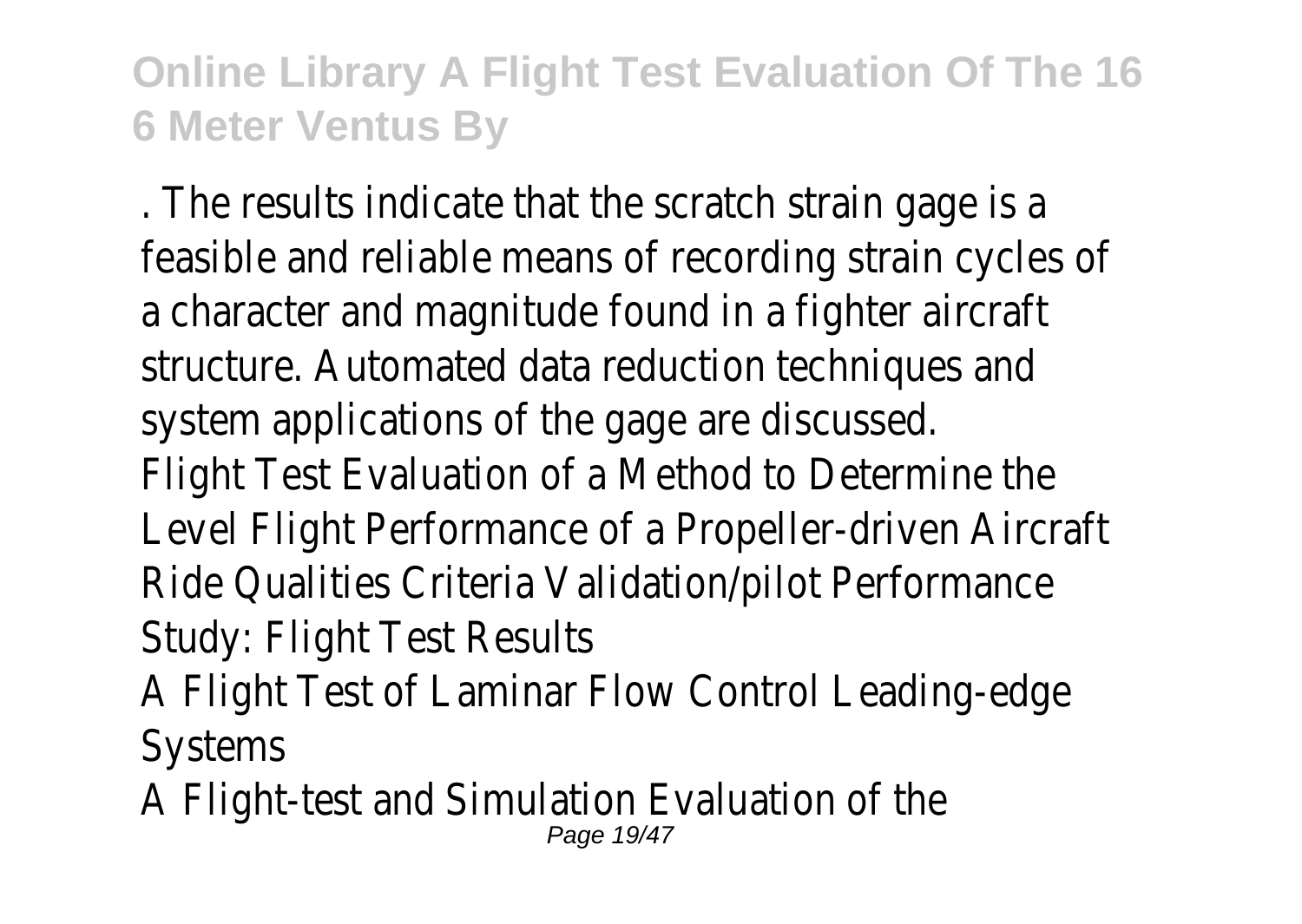. The results indicate that the scratch strain gage is a feasible and reliable means of recording strain cycles of a character and magnitude found in a fighter aircraft structure. Automated data reduction techniques and system applications of the gage are discussed. Flight Test Evaluation of a Method to Determine the Level Flight Performance of a Propeller-driven Aircraft Ride Qualities Criteria Validation/pilot Performance Study: Flight Test Results

- A Flight Test of Laminar Flow Control Leading-edge Systems
- A Flight-test and Simulation Evaluation of the Page 19/47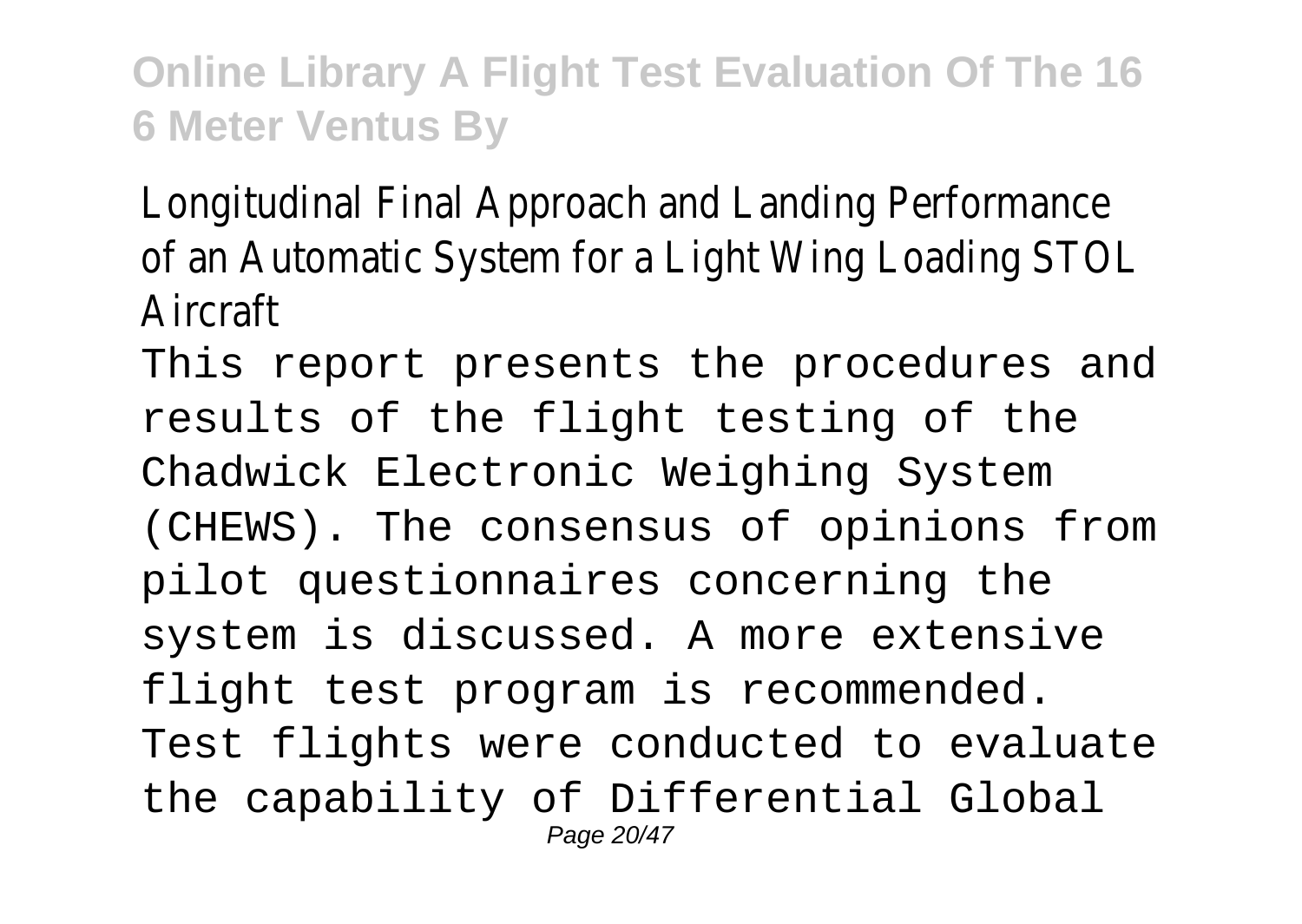Longitudinal Final Approach and Landing Performance of an Automatic System for a Light Wing Loading STOL Aircraft

This report presents the procedures and results of the flight testing of the Chadwick Electronic Weighing System (CHEWS). The consensus of opinions from pilot questionnaires concerning the system is discussed. A more extensive flight test program is recommended. Test flights were conducted to evaluate the capability of Differential Global Page 20/47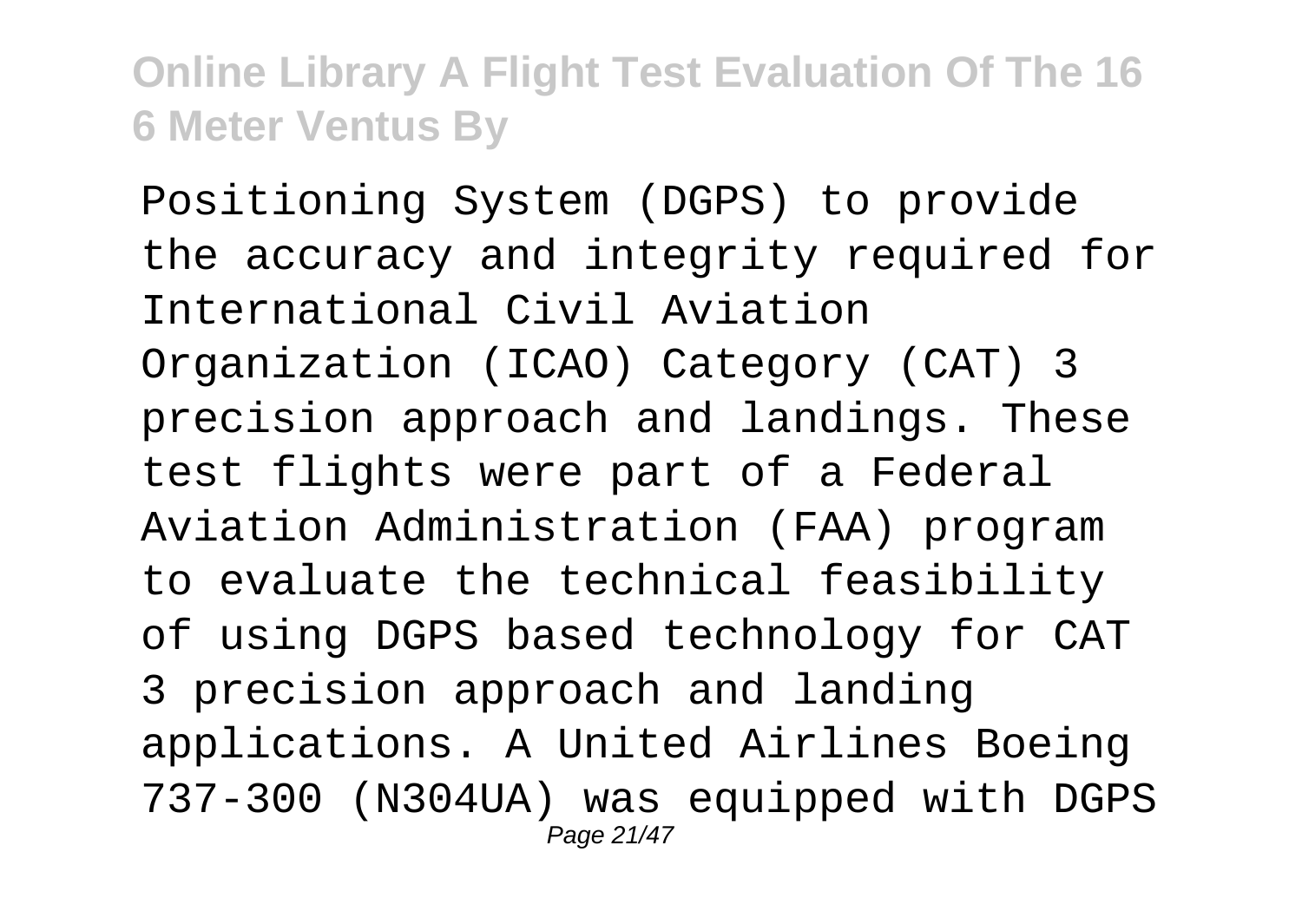Positioning System (DGPS) to provide the accuracy and integrity required for International Civil Aviation Organization (ICAO) Category (CAT) 3 precision approach and landings. These test flights were part of a Federal Aviation Administration (FAA) program to evaluate the technical feasibility of using DGPS based technology for CAT 3 precision approach and landing applications. A United Airlines Boeing 737-300 (N304UA) was equipped with DGPS Page 21/47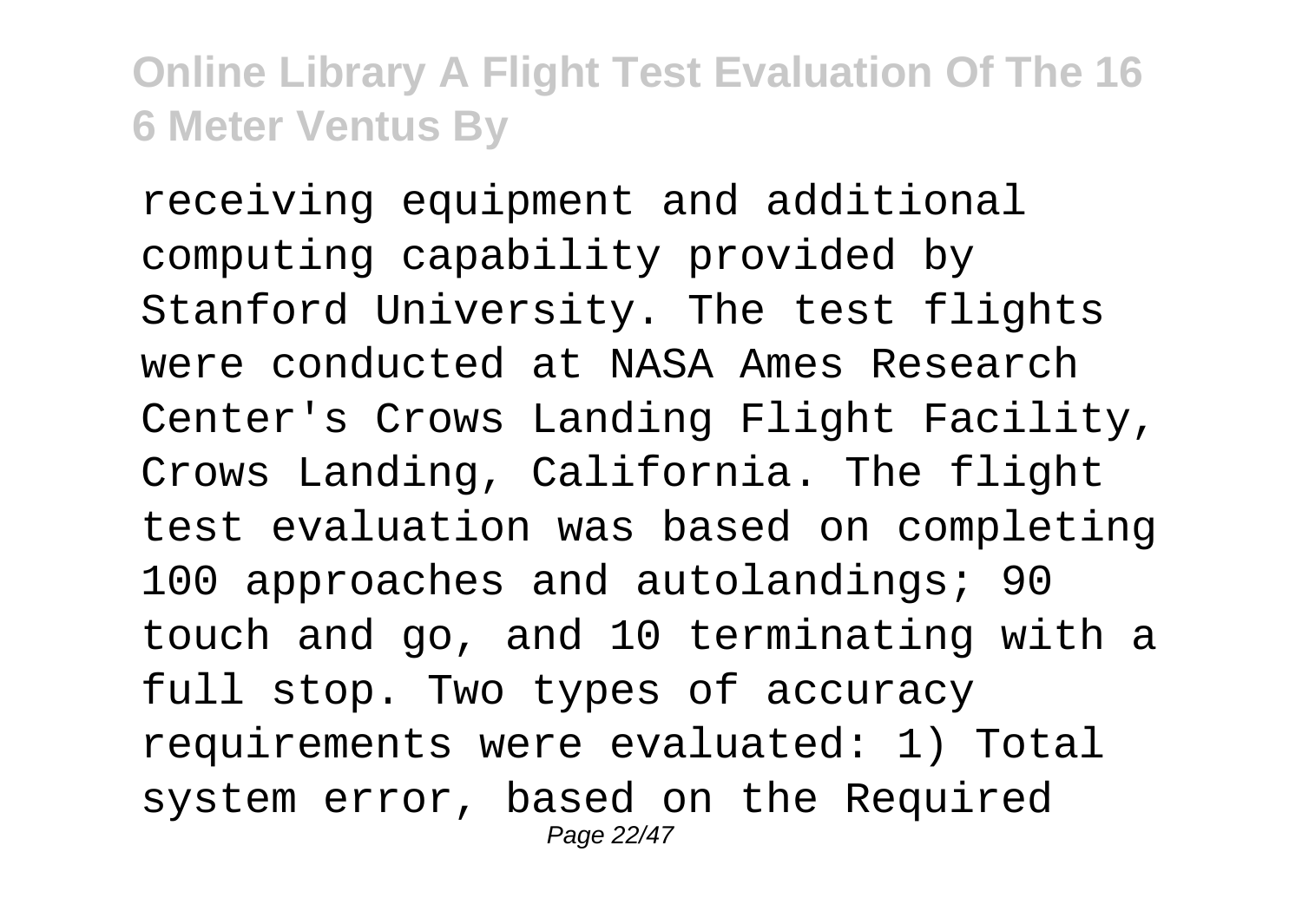receiving equipment and additional computing capability provided by Stanford University. The test flights were conducted at NASA Ames Research Center's Crows Landing Flight Facility, Crows Landing, California. The flight test evaluation was based on completing 100 approaches and autolandings; 90 touch and go, and 10 terminating with a full stop. Two types of accuracy requirements were evaluated: 1) Total system error, based on the Required Page 22/47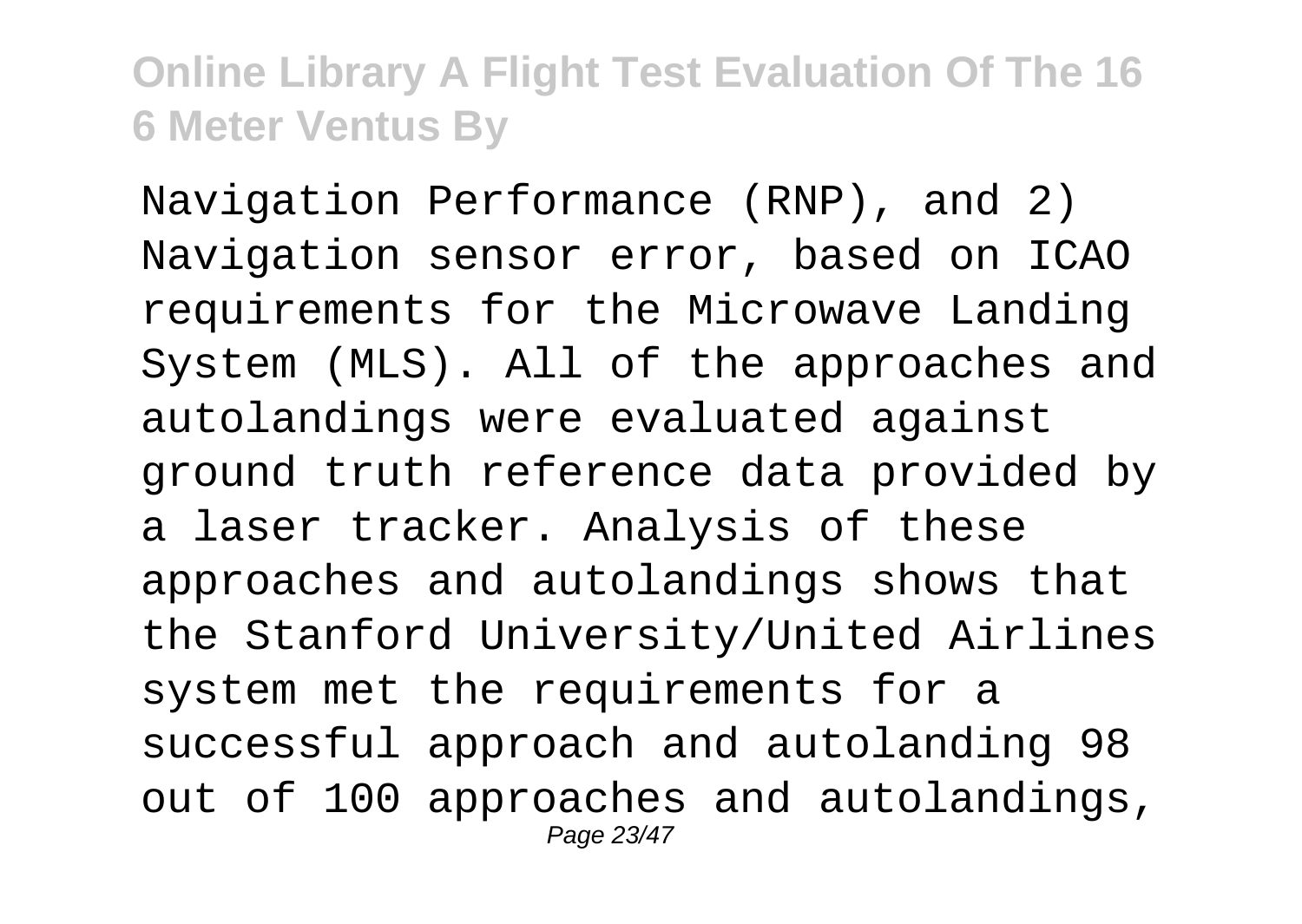Navigation Performance (RNP), and 2) Navigation sensor error, based on ICAO requirements for the Microwave Landing System (MLS). All of the approaches and autolandings were evaluated against ground truth reference data provided by a laser tracker. Analysis of these approaches and autolandings shows that the Stanford University/United Airlines system met the requirements for a successful approach and autolanding 98 out of 100 approaches and autolandings, Page 23/47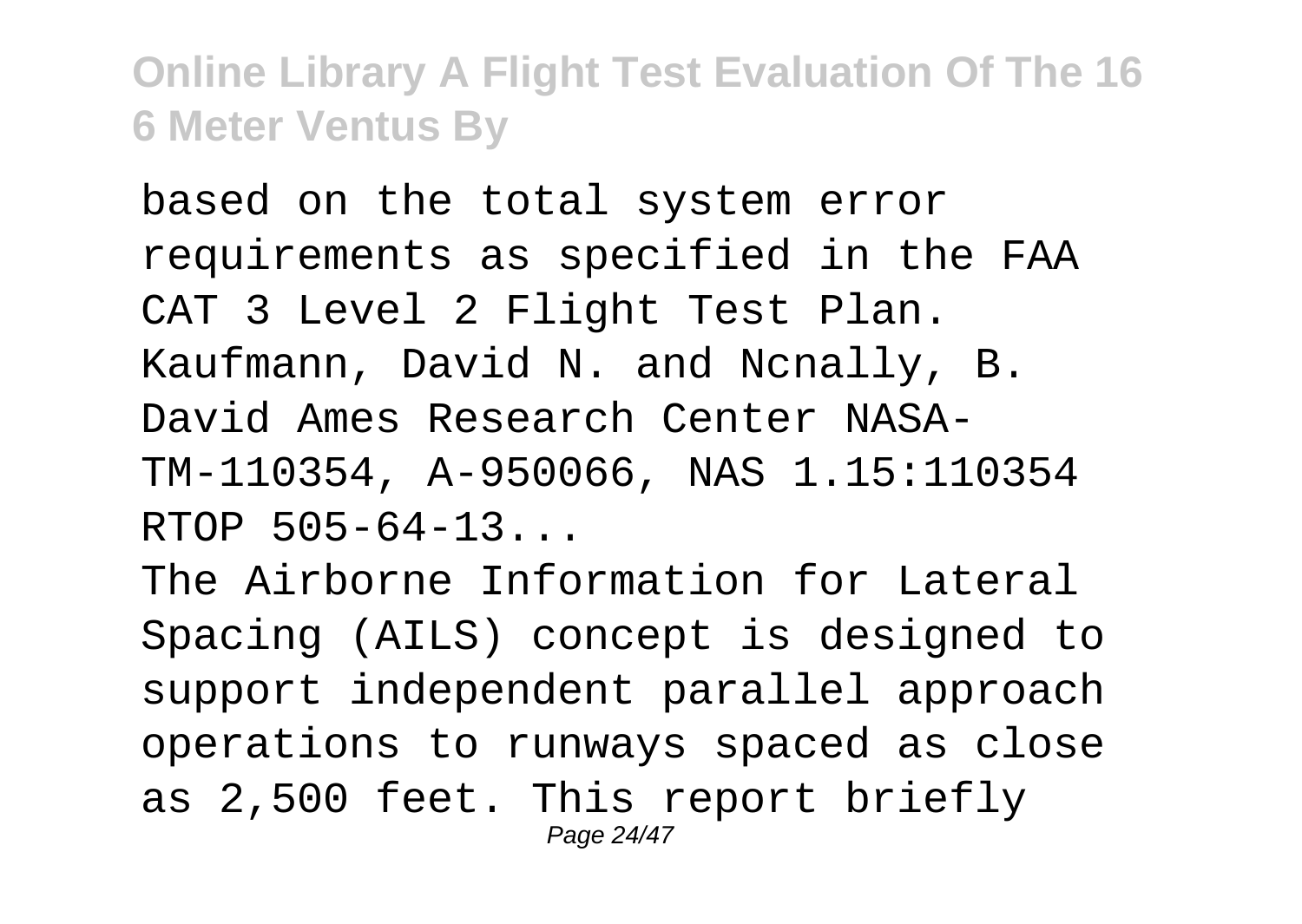based on the total system error requirements as specified in the FAA CAT 3 Level 2 Flight Test Plan. Kaufmann, David N. and Ncnally, B. David Ames Research Center NASA-TM-110354, A-950066, NAS 1.15:110354 RTOP 505-64-13...

The Airborne Information for Lateral Spacing (AILS) concept is designed to support independent parallel approach operations to runways spaced as close as 2,500 feet. This report briefly Page 24/47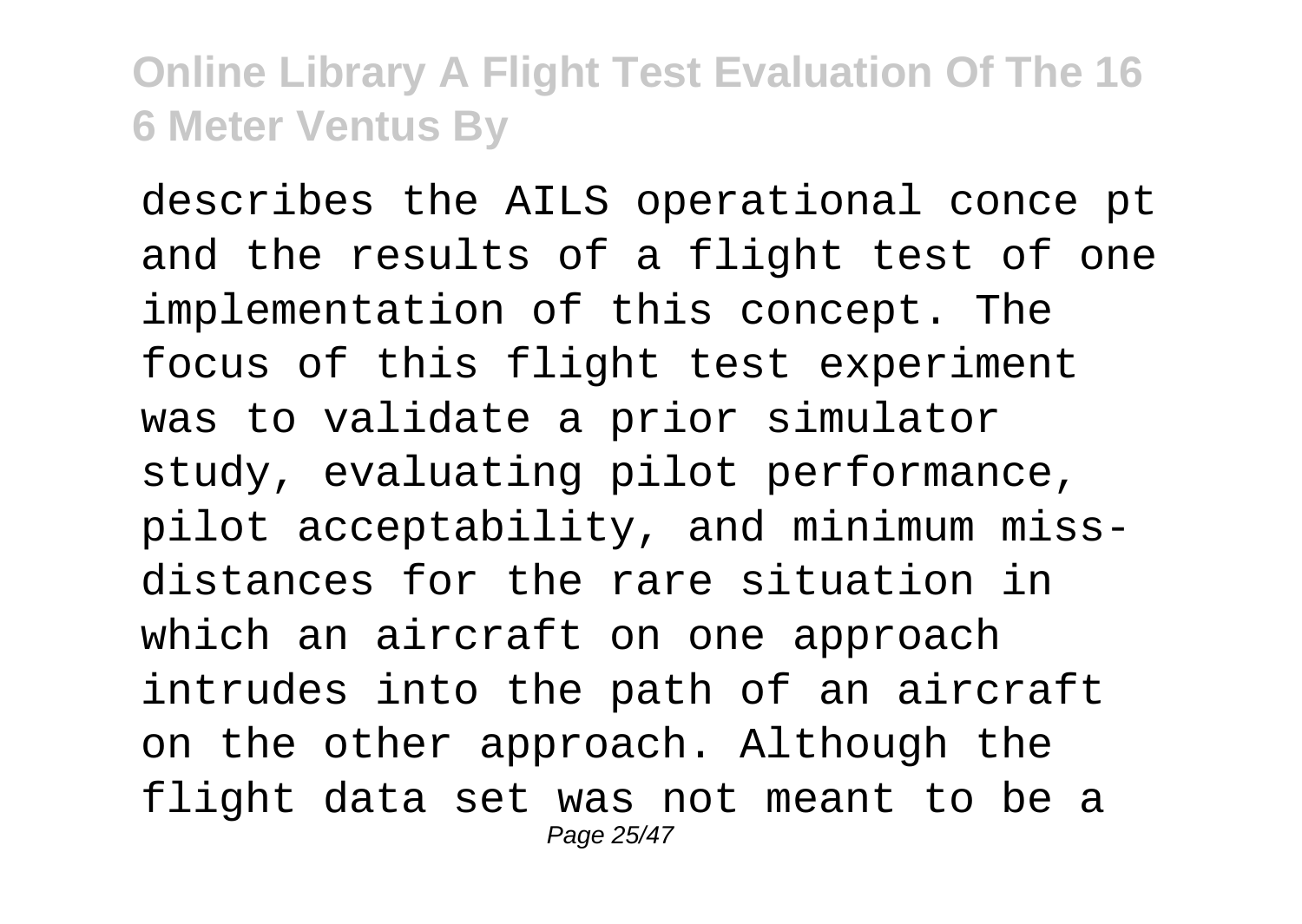describes the AILS operational conce pt and the results of a flight test of one implementation of this concept. The focus of this flight test experiment was to validate a prior simulator study, evaluating pilot performance, pilot acceptability, and minimum missdistances for the rare situation in which an aircraft on one approach intrudes into the path of an aircraft on the other approach. Although the flight data set was not meant to be a Page 25/47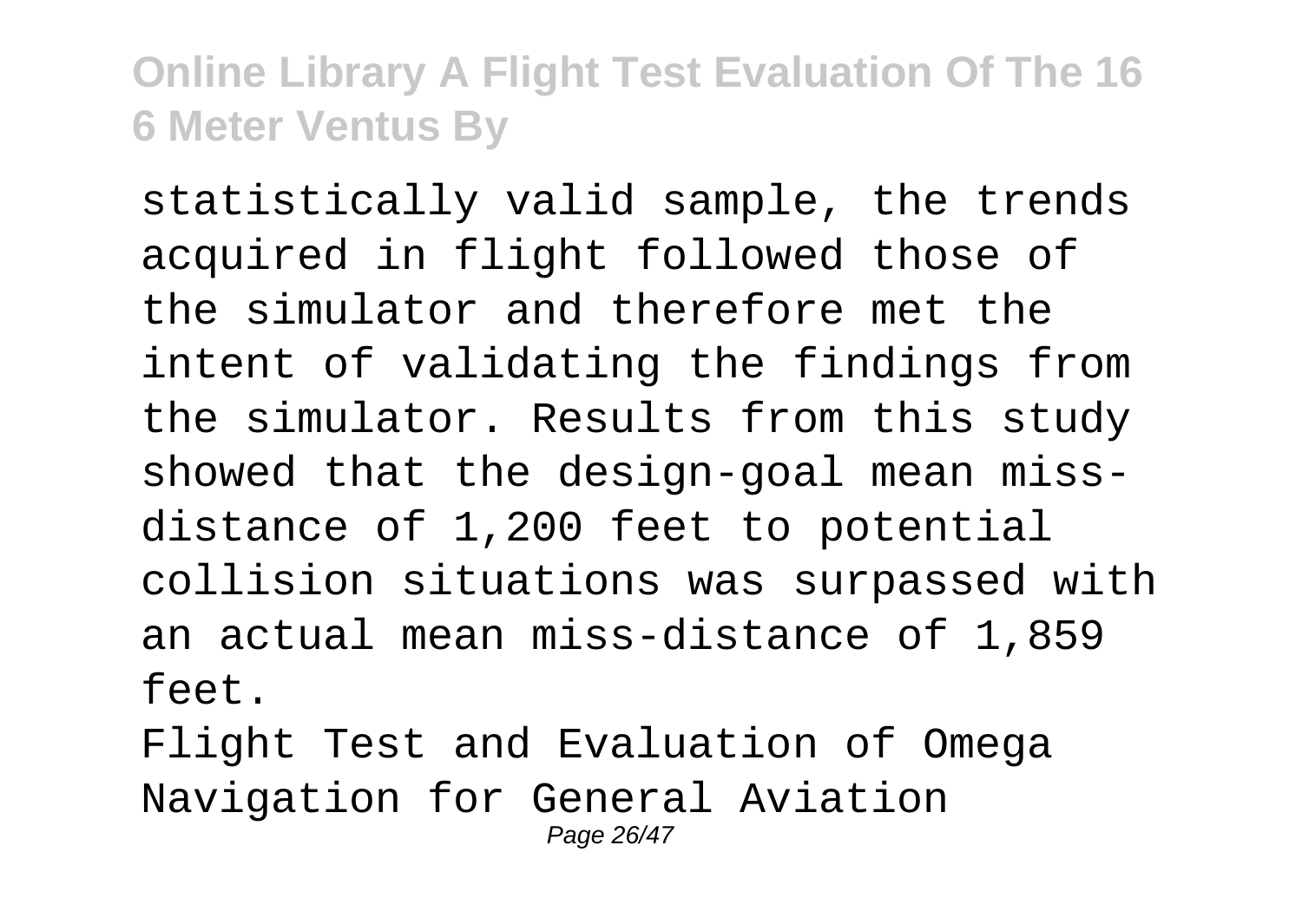statistically valid sample, the trends acquired in flight followed those of the simulator and therefore met the intent of validating the findings from the simulator. Results from this study showed that the design-goal mean missdistance of 1,200 feet to potential collision situations was surpassed with an actual mean miss-distance of 1,859 feet.

Flight Test and Evaluation of Omega Navigation for General Aviation Page 26/47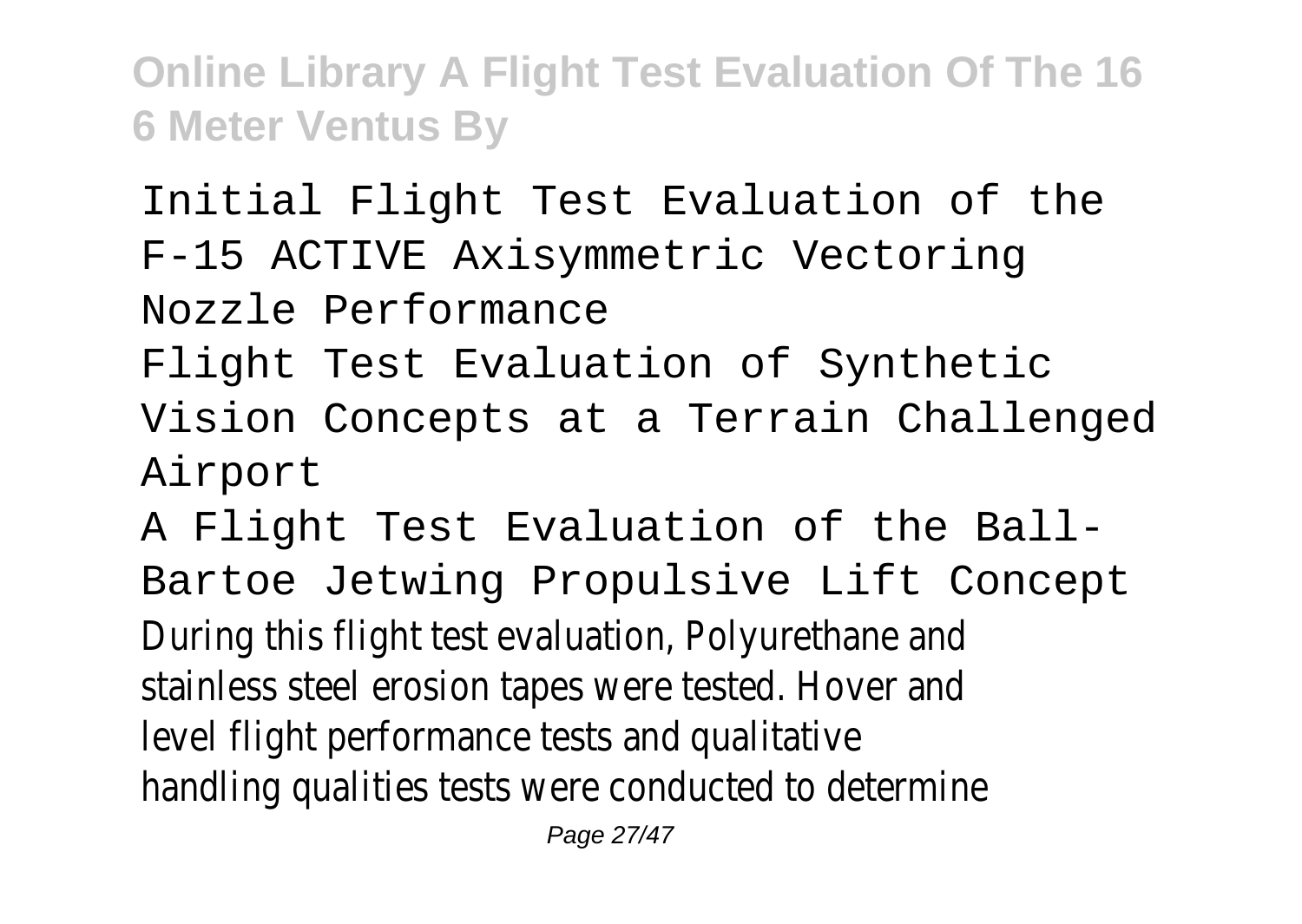Initial Flight Test Evaluation of the

F-15 ACTIVE Axisymmetric Vectoring

Nozzle Performance

- Flight Test Evaluation of Synthetic
- Vision Concepts at a Terrain Challenged Airport

A Flight Test Evaluation of the Ball-Bartoe Jetwing Propulsive Lift Concept During this flight test evaluation, Polyurethane and stainless steel erosion tapes were tested. Hover and level flight performance tests and qualitative handling qualities tests were conducted to determine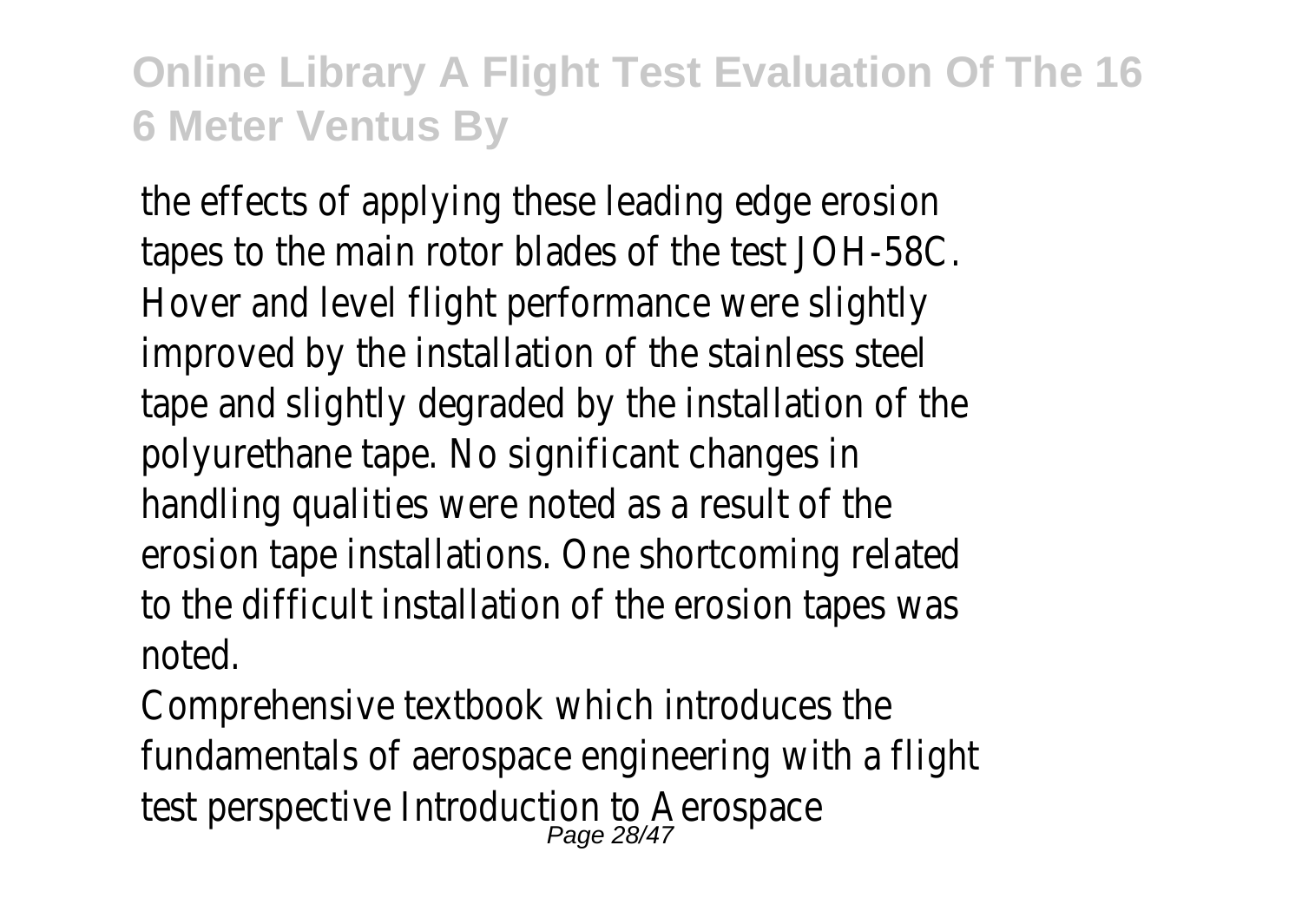the effects of applying these leading edge erosion tapes to the main rotor blades of the test JOH-58C. Hover and level flight performance were slightly improved by the installation of the stainless steel tape and slightly degraded by the installation of the polyurethane tape. No significant changes in handling qualities were noted as a result of the erosion tape installations. One shortcoming related to the difficult installation of the erosion tapes was noted.

Comprehensive textbook which introduces the fundamentals of aerospace engineering with a flight test perspective Introduction to Aerospace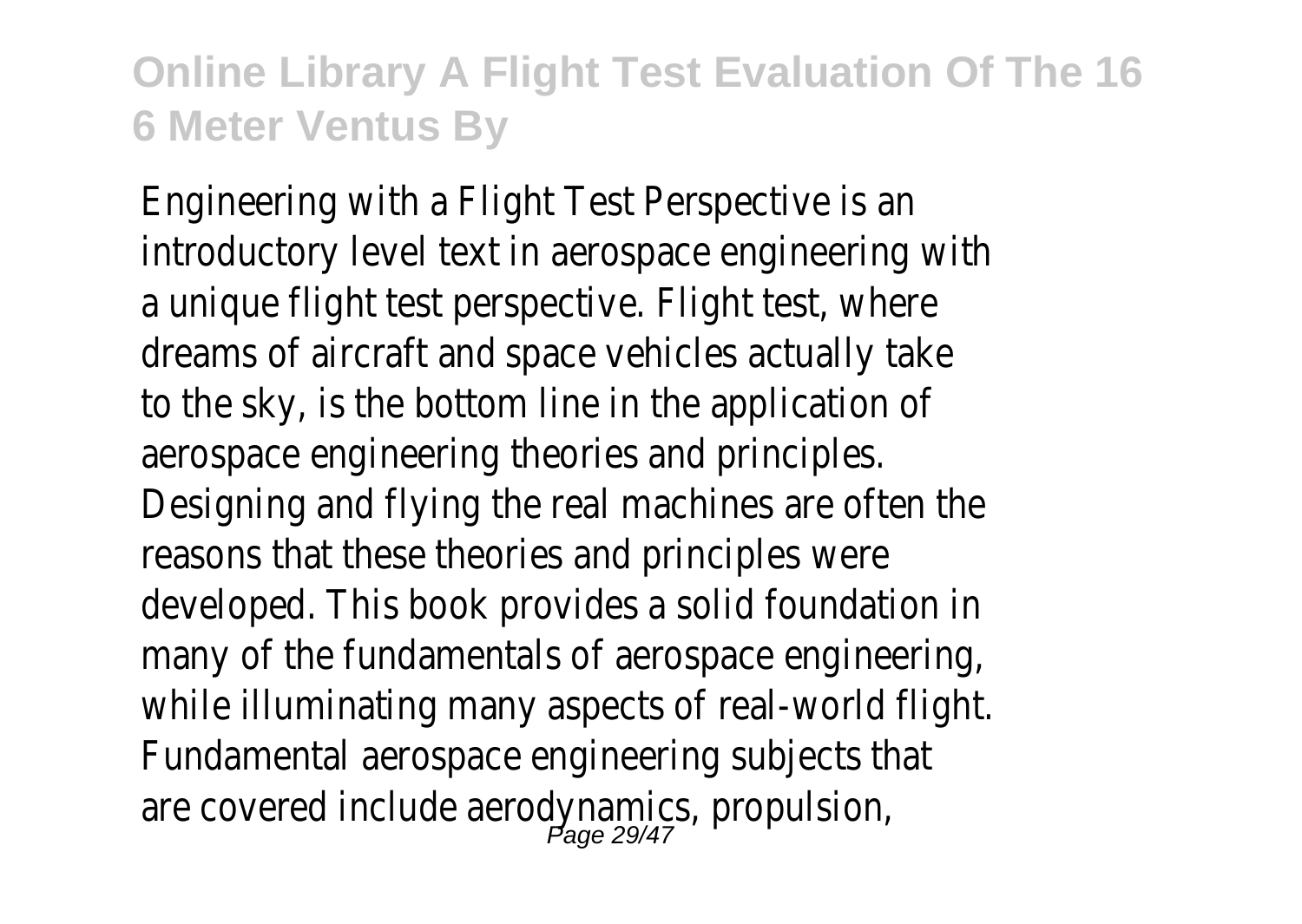Engineering with a Flight Test Perspective is an introductory level text in aerospace engineering with a unique flight test perspective. Flight test, where dreams of aircraft and space vehicles actually take to the sky, is the bottom line in the application of aerospace engineering theories and principles. Designing and flying the real machines are often the reasons that these theories and principles were developed. This book provides a solid foundation in many of the fundamentals of aerospace engineering, while illuminating many aspects of real-world flight. Fundamental aerospace engineering subjects that are covered include aerodynamics, propulsion,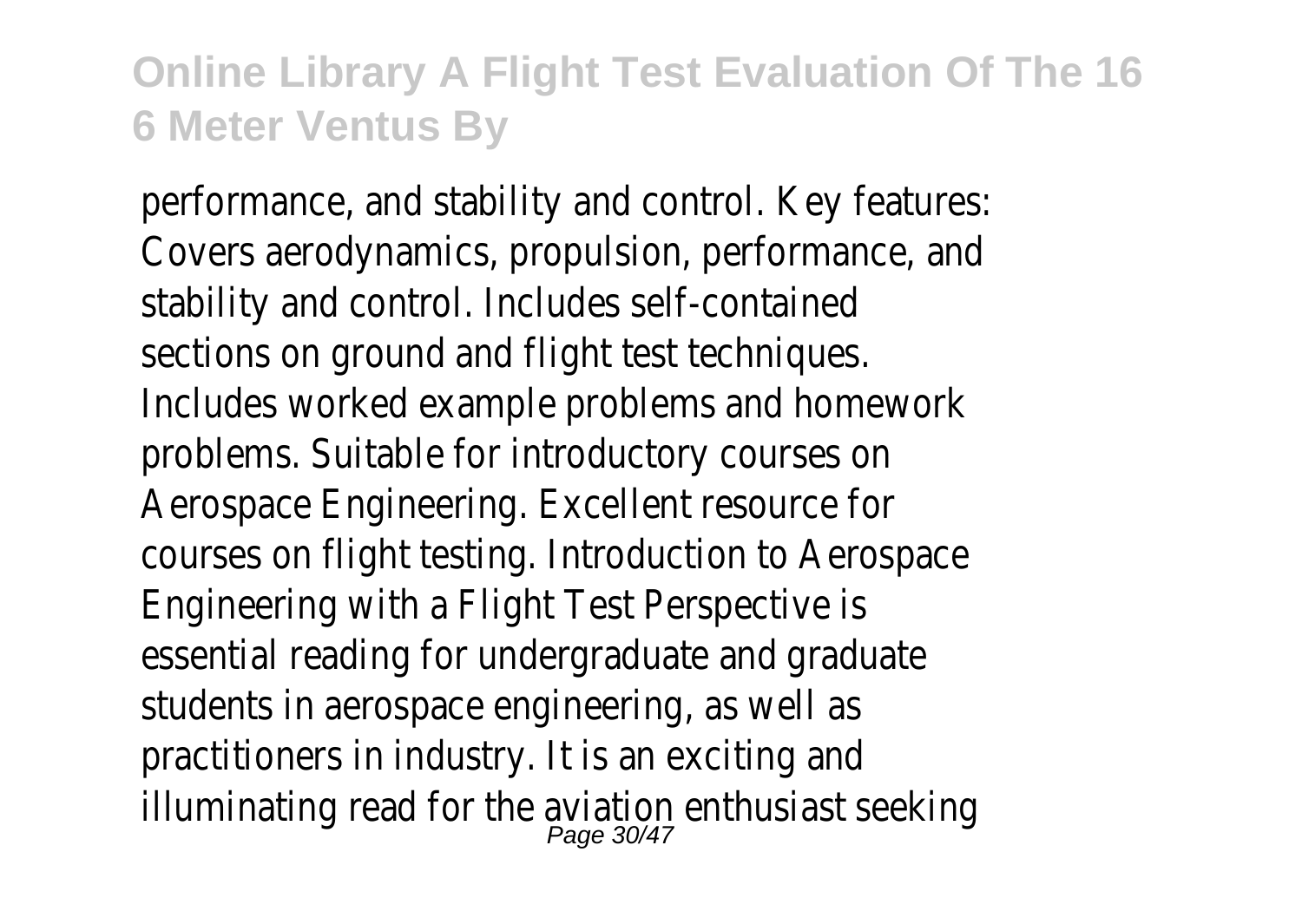performance, and stability and control. Key features: Covers aerodynamics, propulsion, performance, and stability and control. Includes self-contained sections on ground and flight test techniques. Includes worked example problems and homework problems. Suitable for introductory courses on Aerospace Engineering. Excellent resource for courses on flight testing. Introduction to Aerospace Engineering with a Flight Test Perspective is essential reading for undergraduate and graduate students in aerospace engineering, as well as practitioners in industry. It is an exciting and illuminating read for the aviation enthusiast seeking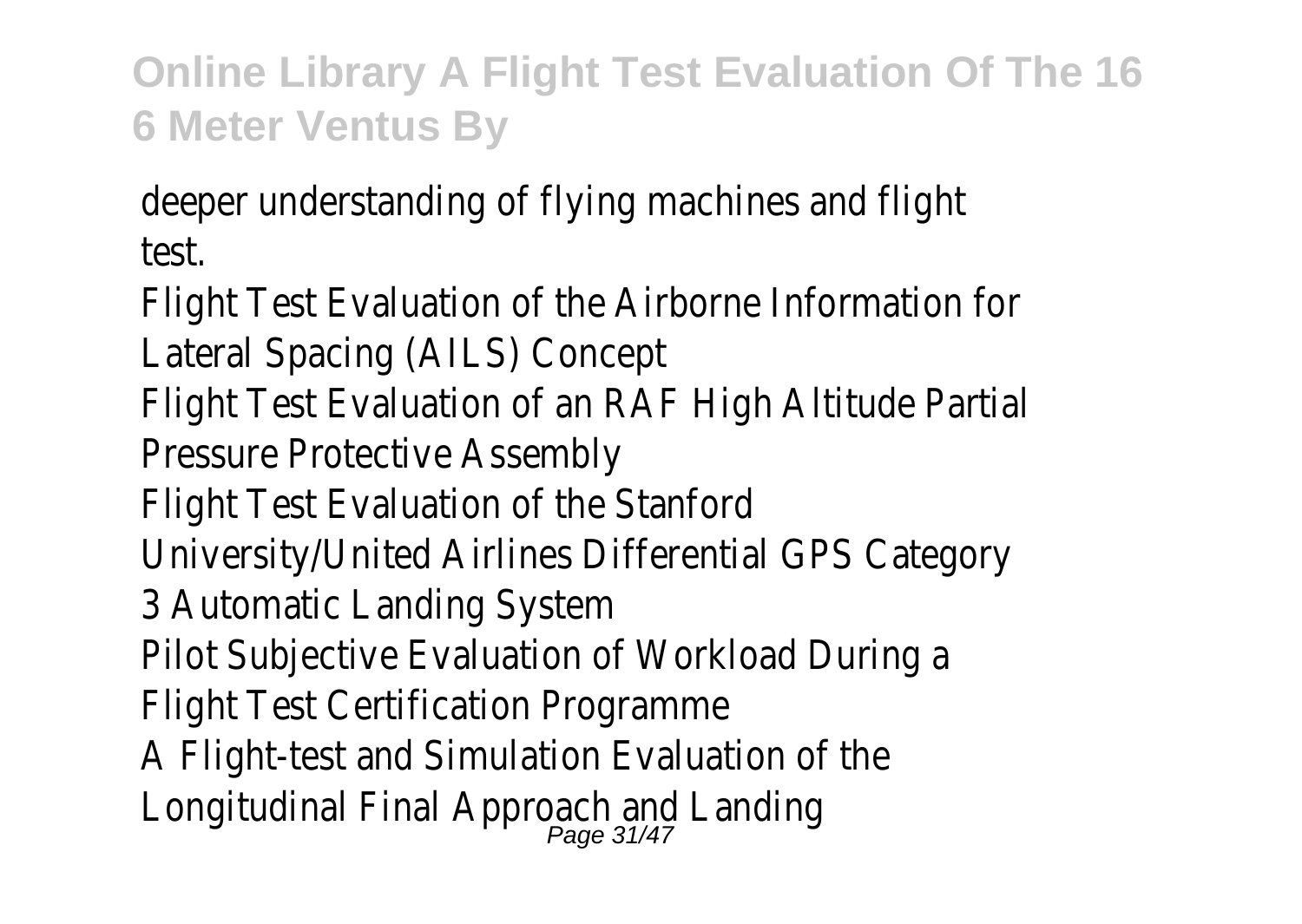deeper understanding of flying machines and flight test.

Flight Test Evaluation of the Airborne Information for Lateral Spacing (AILS) Concept

Flight Test Evaluation of an RAF High Altitude Partial Pressure Protective Assembly

Flight Test Evaluation of the Stanford

- University/United Airlines Differential GPS Category
- 3 Automatic Landing System
- Pilot Subjective Evaluation of Workload During a
- Flight Test Certification Programme
- A Flight-test and Simulation Evaluation of the
- Longitudinal Final Approach and Landing<br>Page 31/47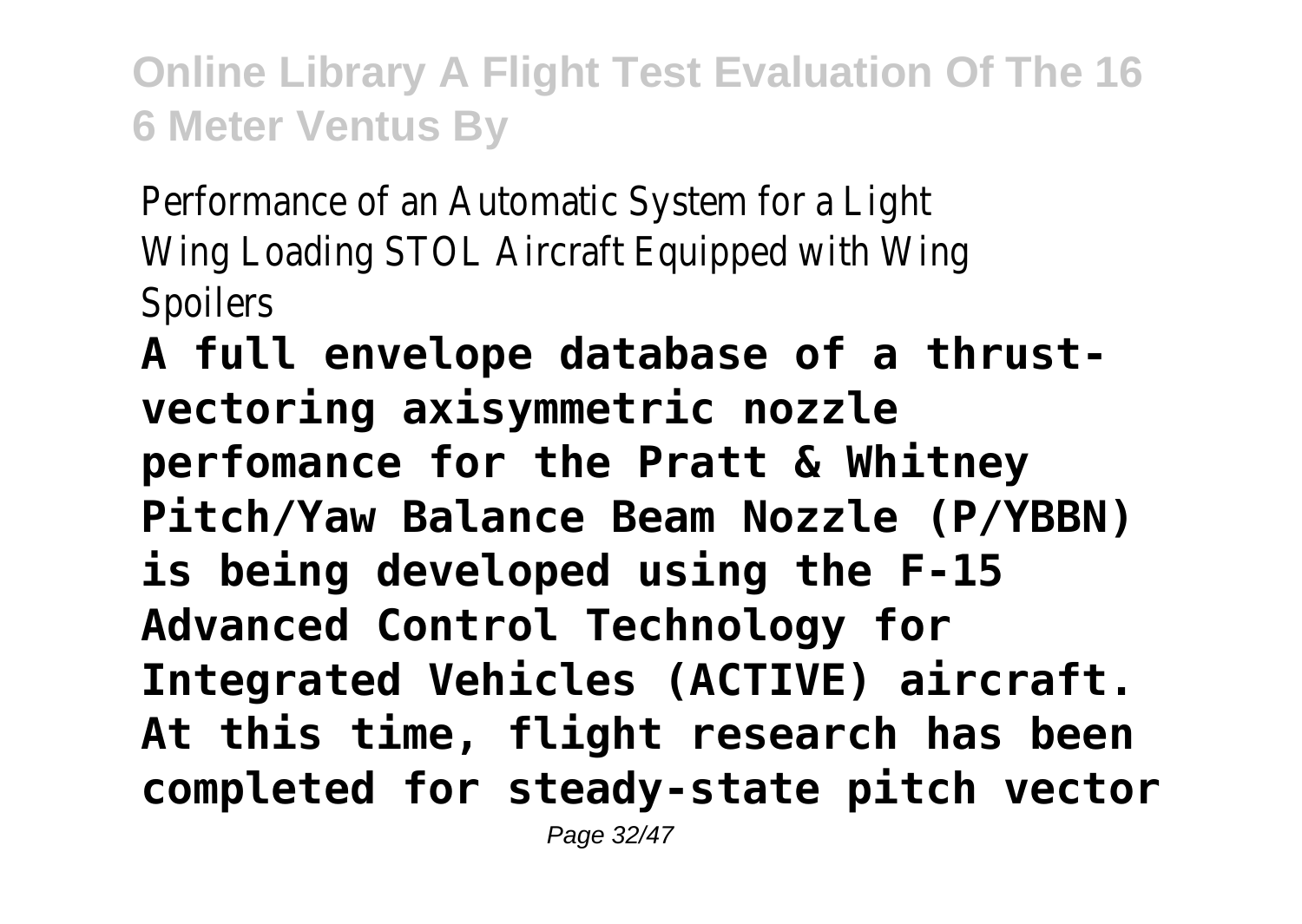Performance of an Automatic System for a Light Wing Loading STOL Aircraft Equipped with Wing **Spoilers** 

**A full envelope database of a thrustvectoring axisymmetric nozzle perfomance for the Pratt & Whitney Pitch/Yaw Balance Beam Nozzle (P/YBBN) is being developed using the F-15 Advanced Control Technology for Integrated Vehicles (ACTIVE) aircraft. At this time, flight research has been completed for steady-state pitch vector**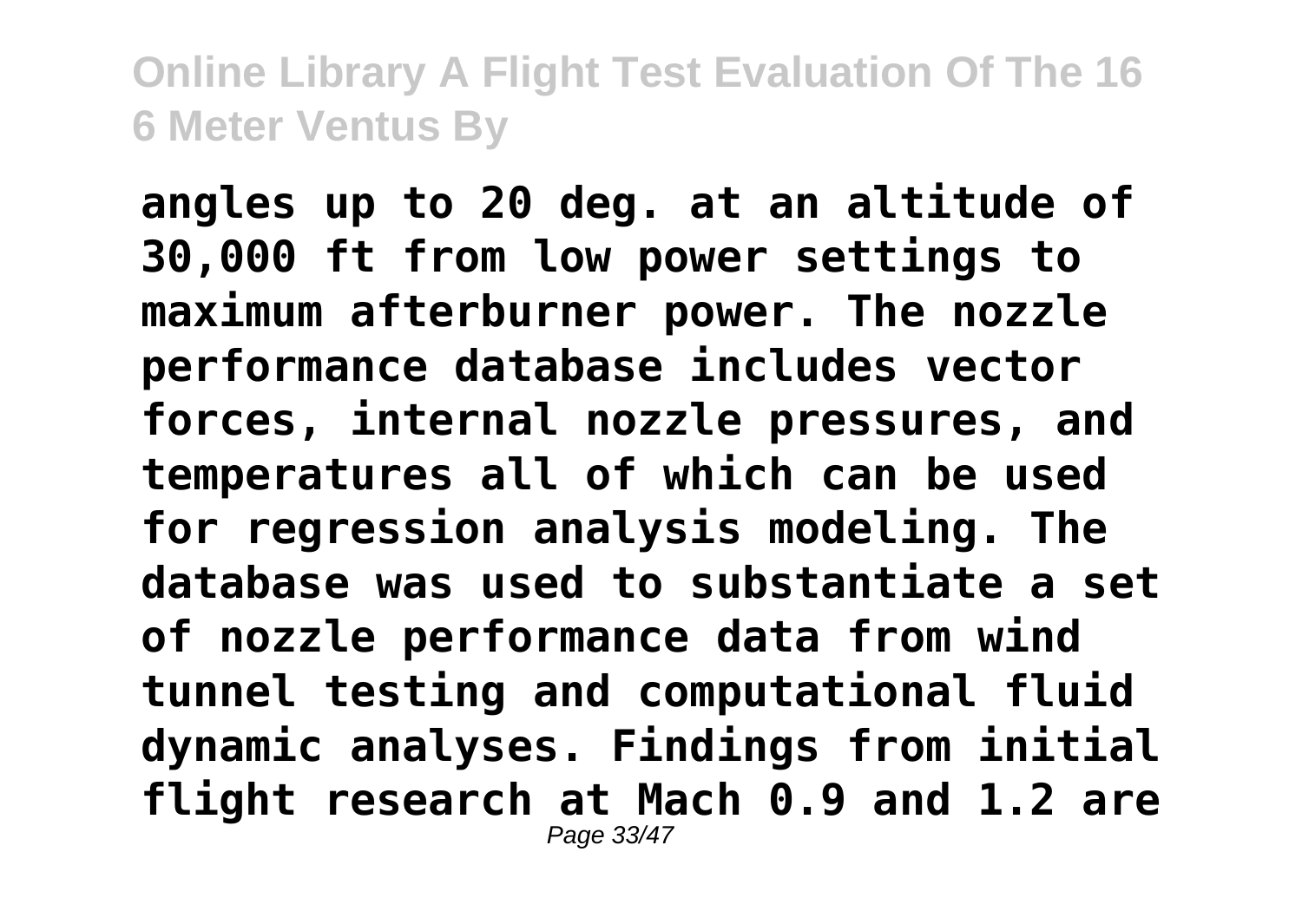**angles up to 20 deg. at an altitude of 30,000 ft from low power settings to maximum afterburner power. The nozzle performance database includes vector forces, internal nozzle pressures, and temperatures all of which can be used for regression analysis modeling. The database was used to substantiate a set of nozzle performance data from wind tunnel testing and computational fluid dynamic analyses. Findings from initial flight research at Mach 0.9 and 1.2 are** Page 33/47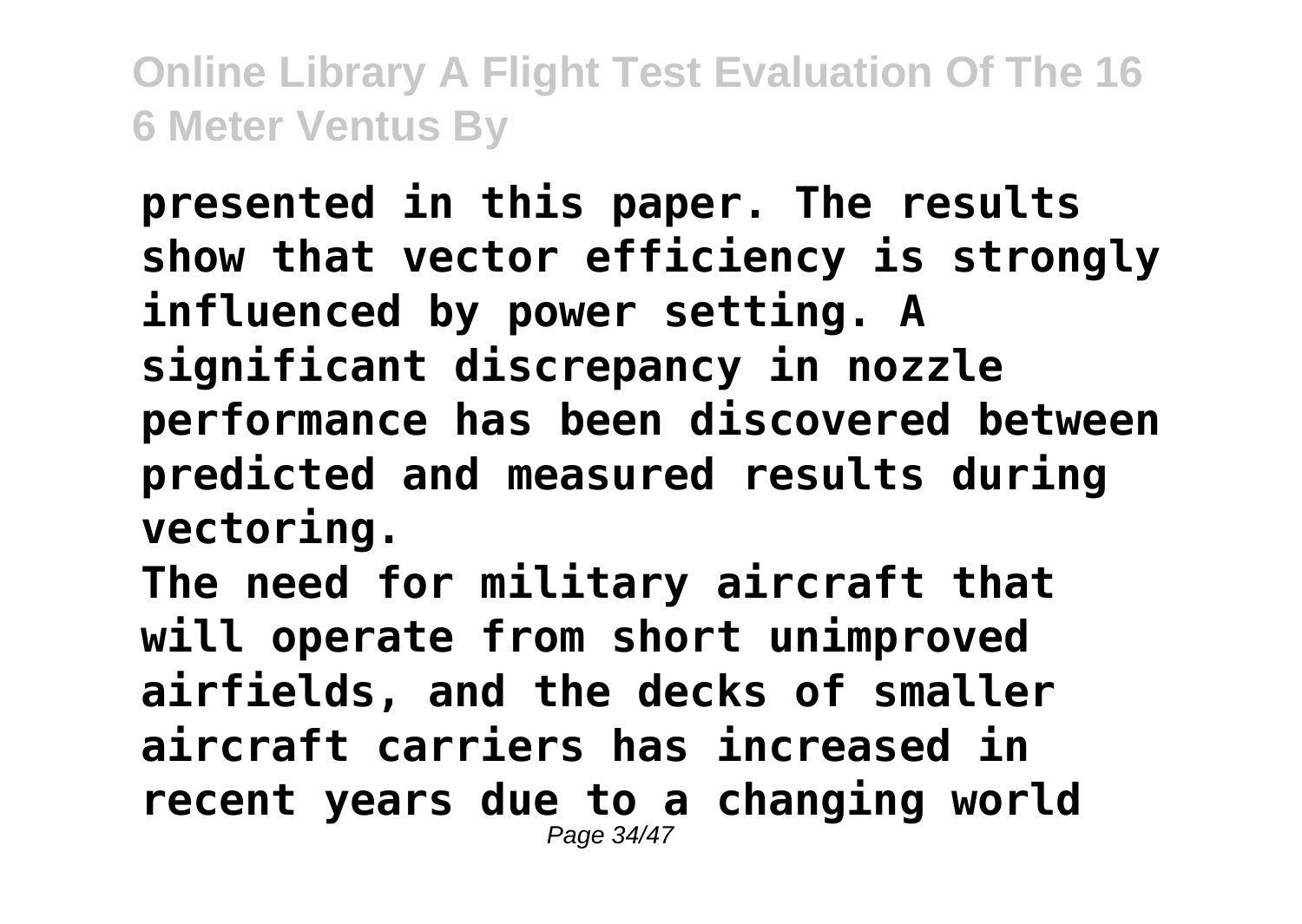**presented in this paper. The results show that vector efficiency is strongly influenced by power setting. A significant discrepancy in nozzle performance has been discovered between predicted and measured results during vectoring.**

**The need for military aircraft that will operate from short unimproved airfields, and the decks of smaller aircraft carriers has increased in recent years due to a changing world** Page 34/47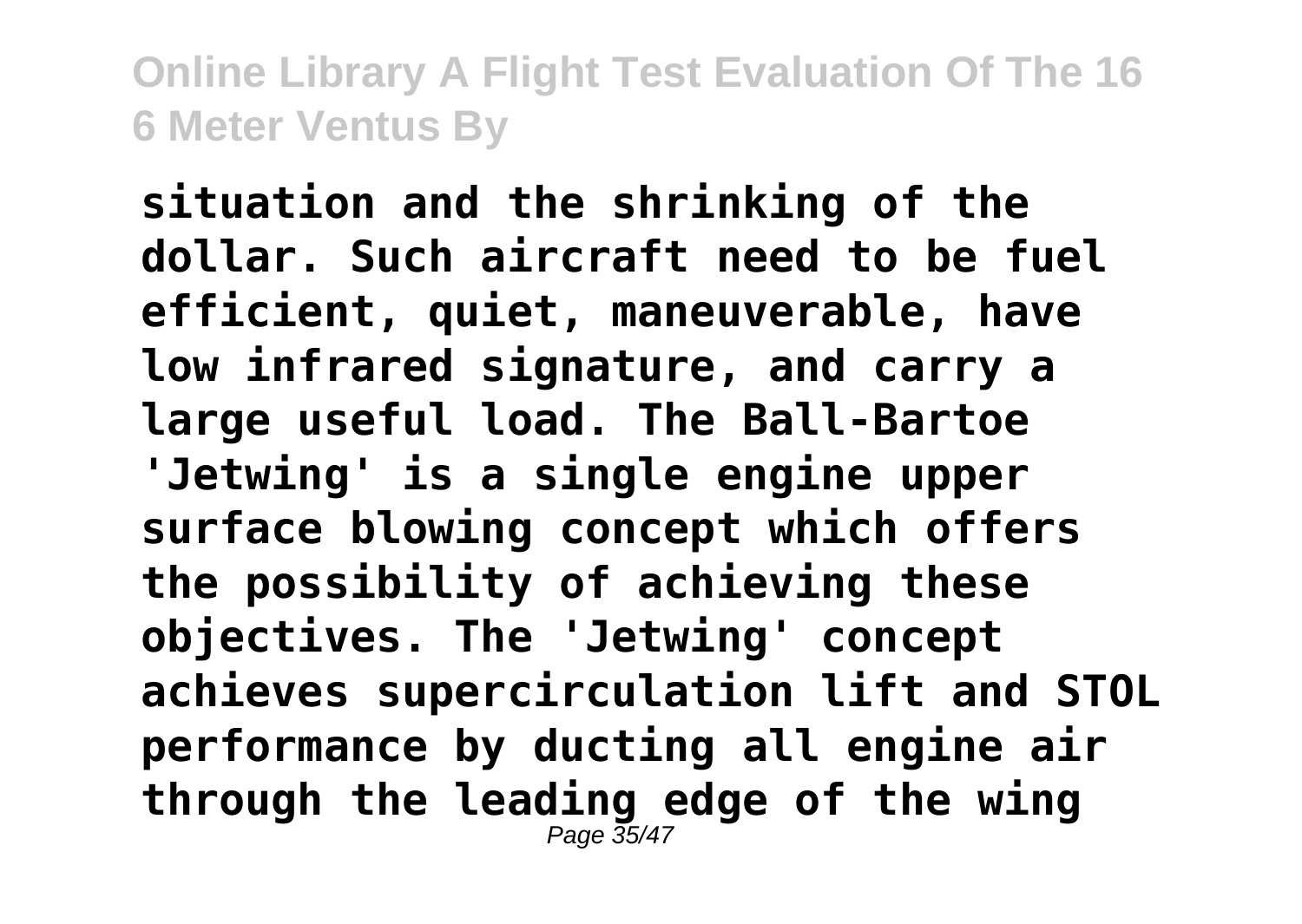**situation and the shrinking of the dollar. Such aircraft need to be fuel efficient, quiet, maneuverable, have low infrared signature, and carry a large useful load. The Ball-Bartoe 'Jetwing' is a single engine upper surface blowing concept which offers the possibility of achieving these objectives. The 'Jetwing' concept achieves supercirculation lift and STOL performance by ducting all engine air through the leading edge of the wing** Page 35/47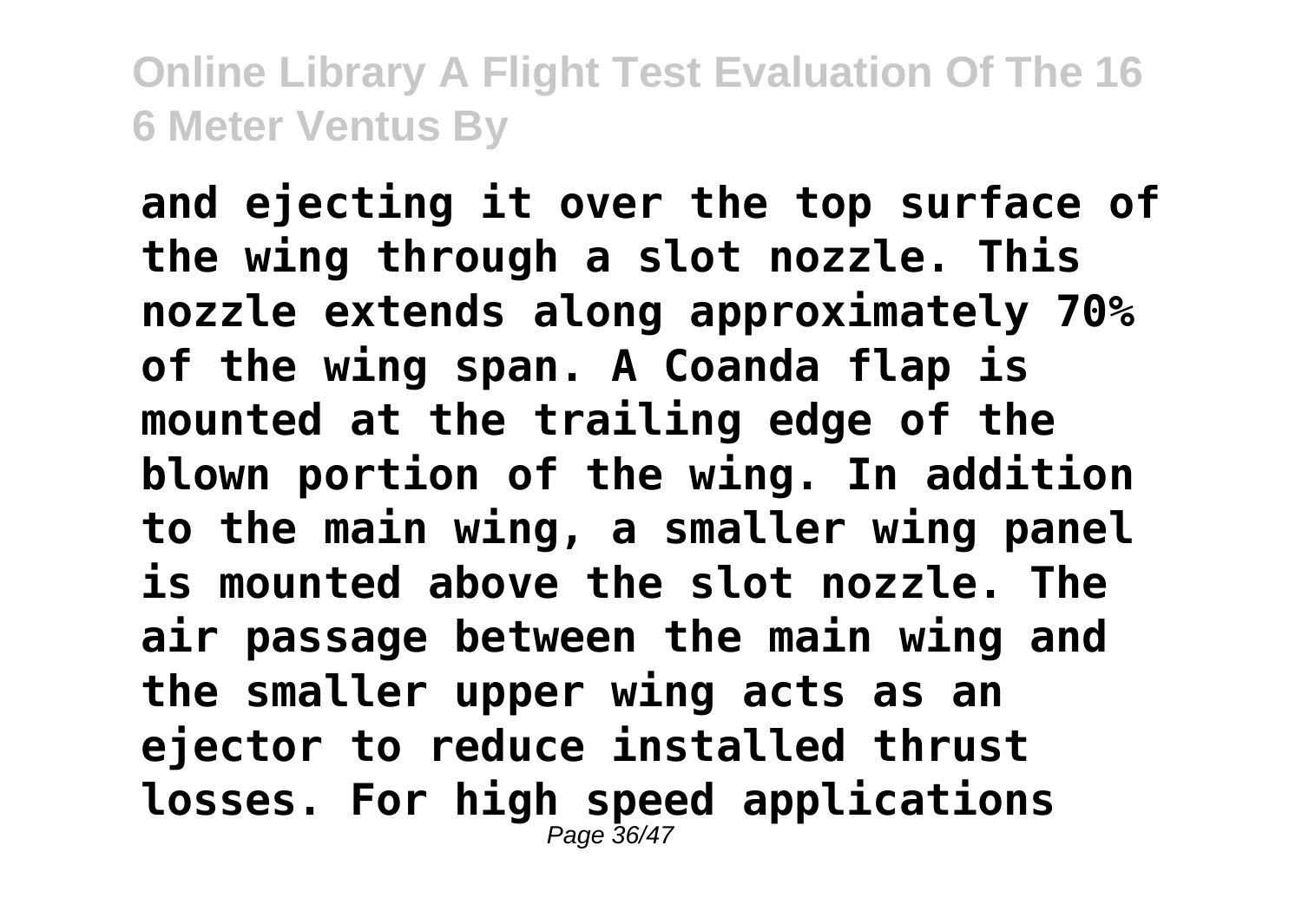**and ejecting it over the top surface of the wing through a slot nozzle. This nozzle extends along approximately 70% of the wing span. A Coanda flap is mounted at the trailing edge of the blown portion of the wing. In addition to the main wing, a smaller wing panel is mounted above the slot nozzle. The air passage between the main wing and the smaller upper wing acts as an ejector to reduce installed thrust losses. For high speed applications** Page 36/47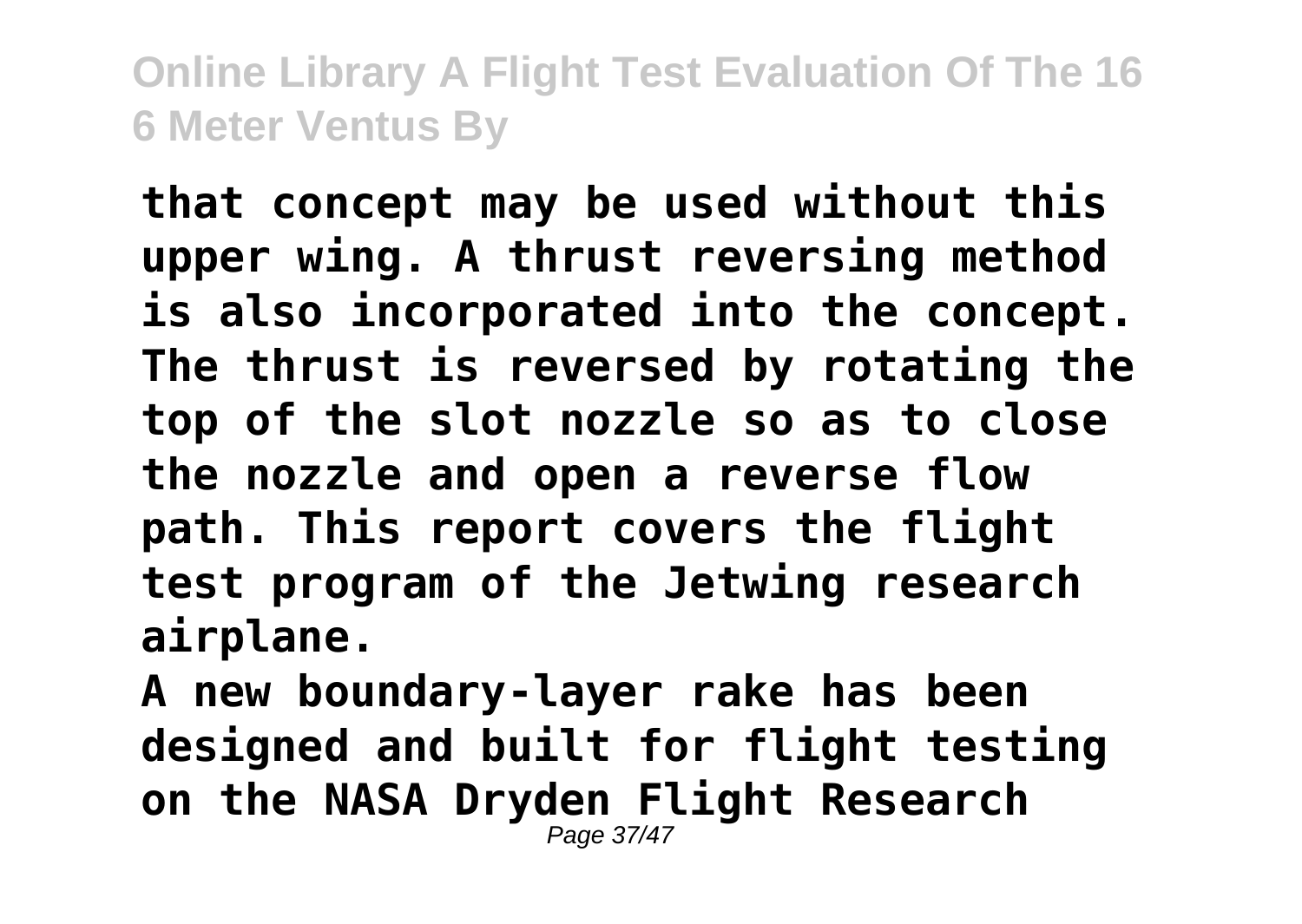**that concept may be used without this upper wing. A thrust reversing method is also incorporated into the concept. The thrust is reversed by rotating the top of the slot nozzle so as to close the nozzle and open a reverse flow path. This report covers the flight test program of the Jetwing research airplane.**

**A new boundary-layer rake has been designed and built for flight testing on the NASA Dryden Flight Research** Page 37/47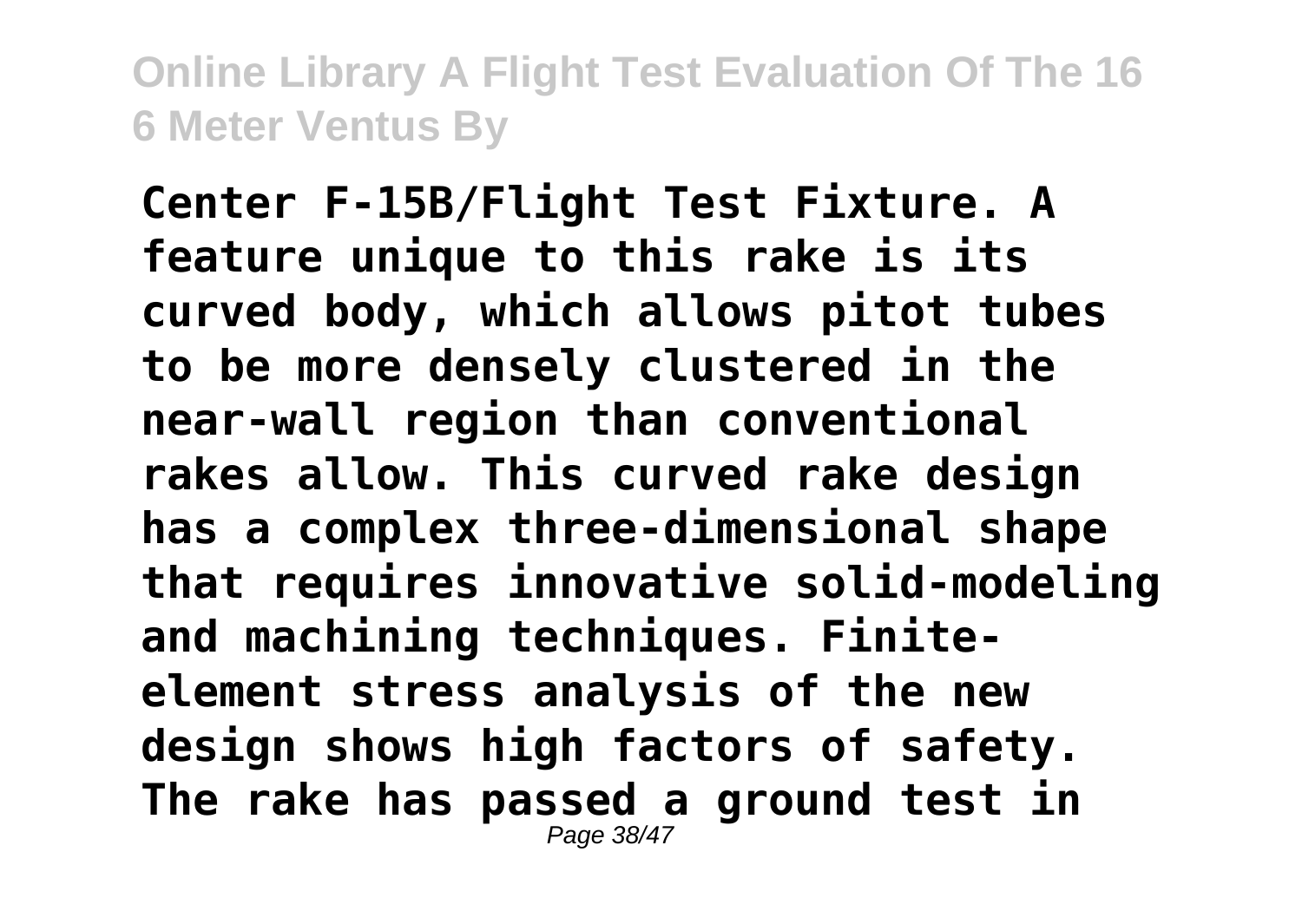**Center F-15B/Flight Test Fixture. A feature unique to this rake is its curved body, which allows pitot tubes to be more densely clustered in the near-wall region than conventional rakes allow. This curved rake design has a complex three-dimensional shape that requires innovative solid-modeling and machining techniques. Finiteelement stress analysis of the new design shows high factors of safety. The rake has passed a ground test in** Page 38/47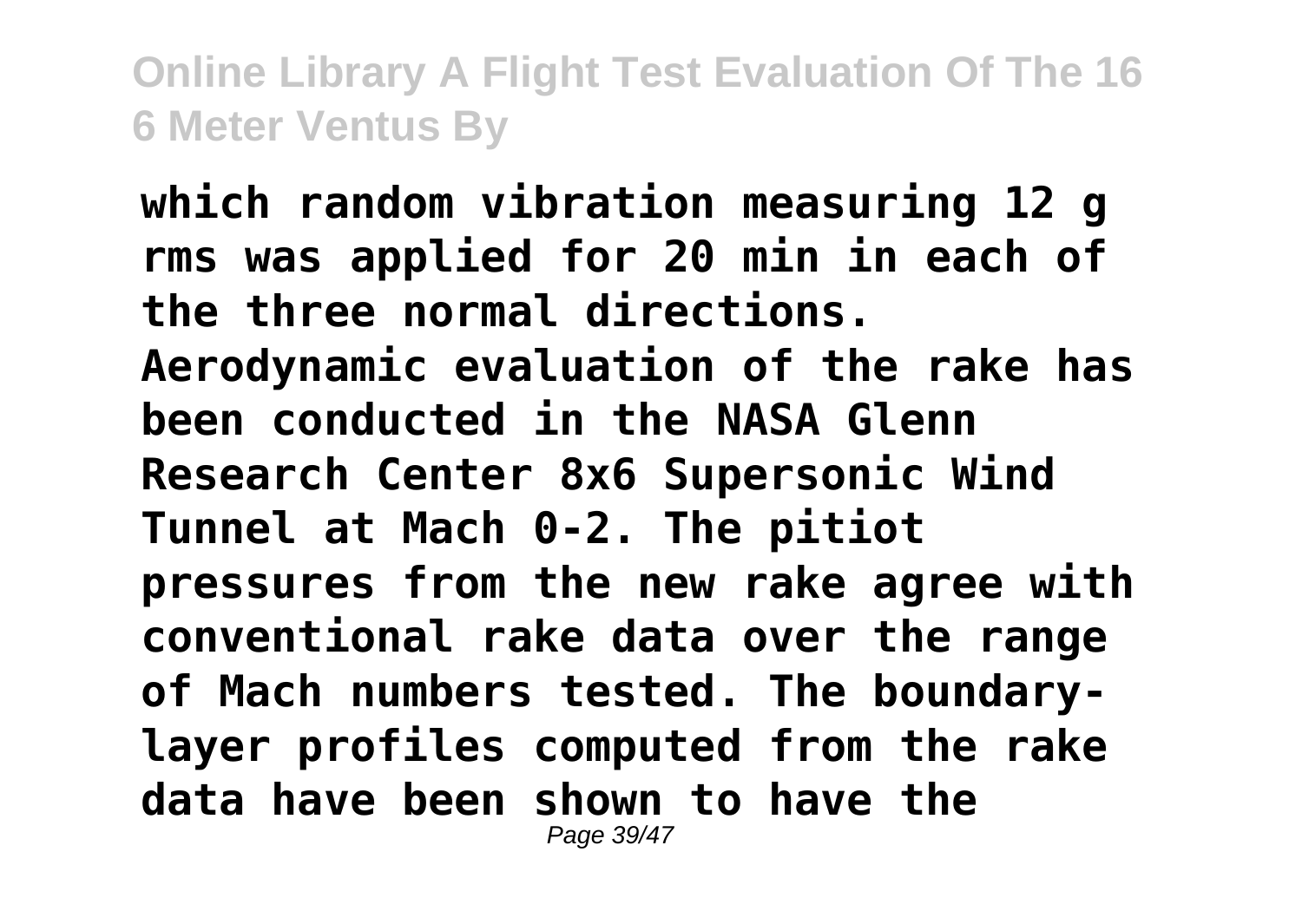**which random vibration measuring 12 g rms was applied for 20 min in each of the three normal directions. Aerodynamic evaluation of the rake has been conducted in the NASA Glenn Research Center 8x6 Supersonic Wind Tunnel at Mach 0-2. The pitiot pressures from the new rake agree with conventional rake data over the range of Mach numbers tested. The boundarylayer profiles computed from the rake data have been shown to have the** Page 39/47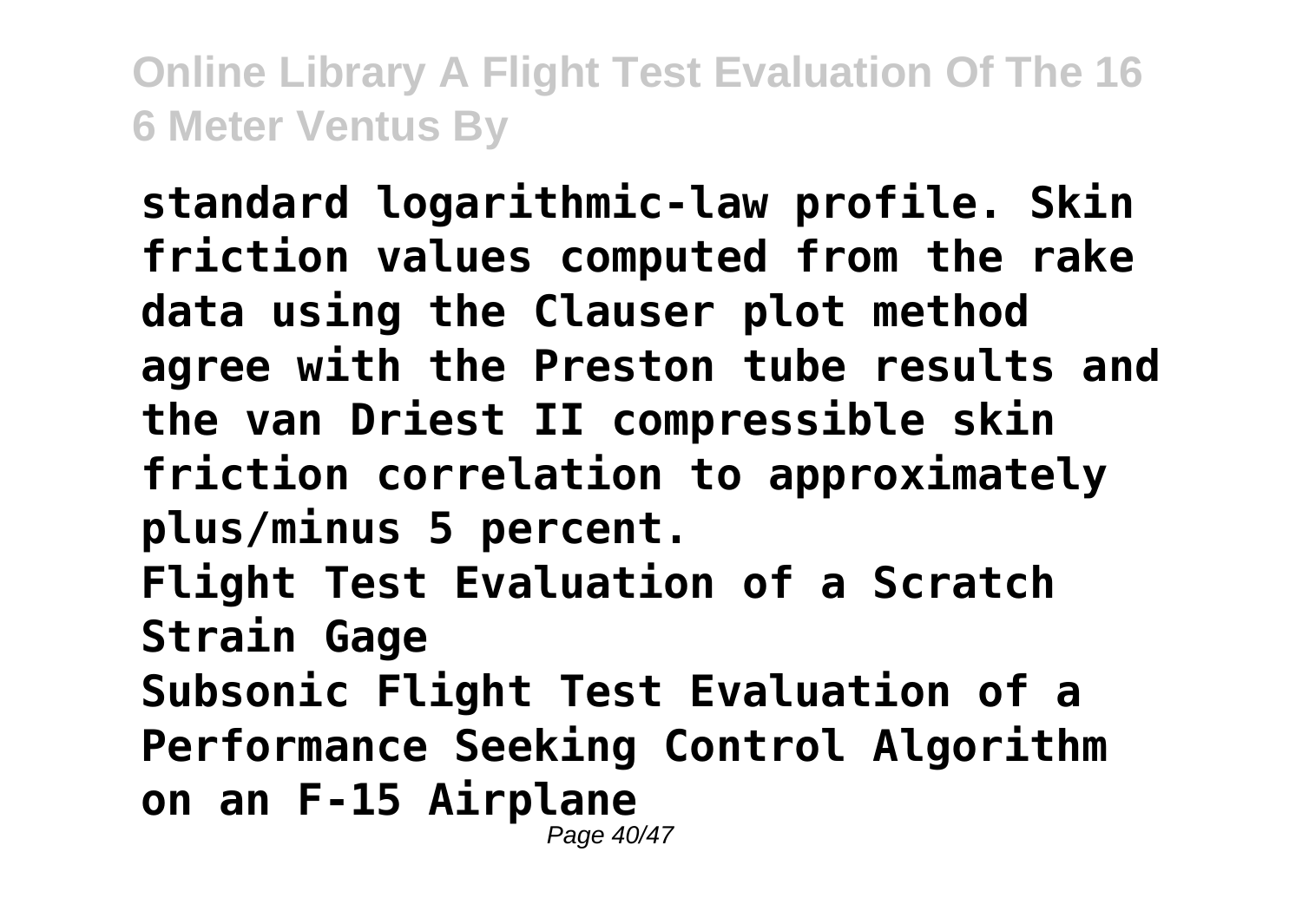**standard logarithmic-law profile. Skin friction values computed from the rake data using the Clauser plot method agree with the Preston tube results and the van Driest II compressible skin friction correlation to approximately plus/minus 5 percent. Flight Test Evaluation of a Scratch Strain Gage Subsonic Flight Test Evaluation of a Performance Seeking Control Algorithm on an F-15 Airplane** Page 40/47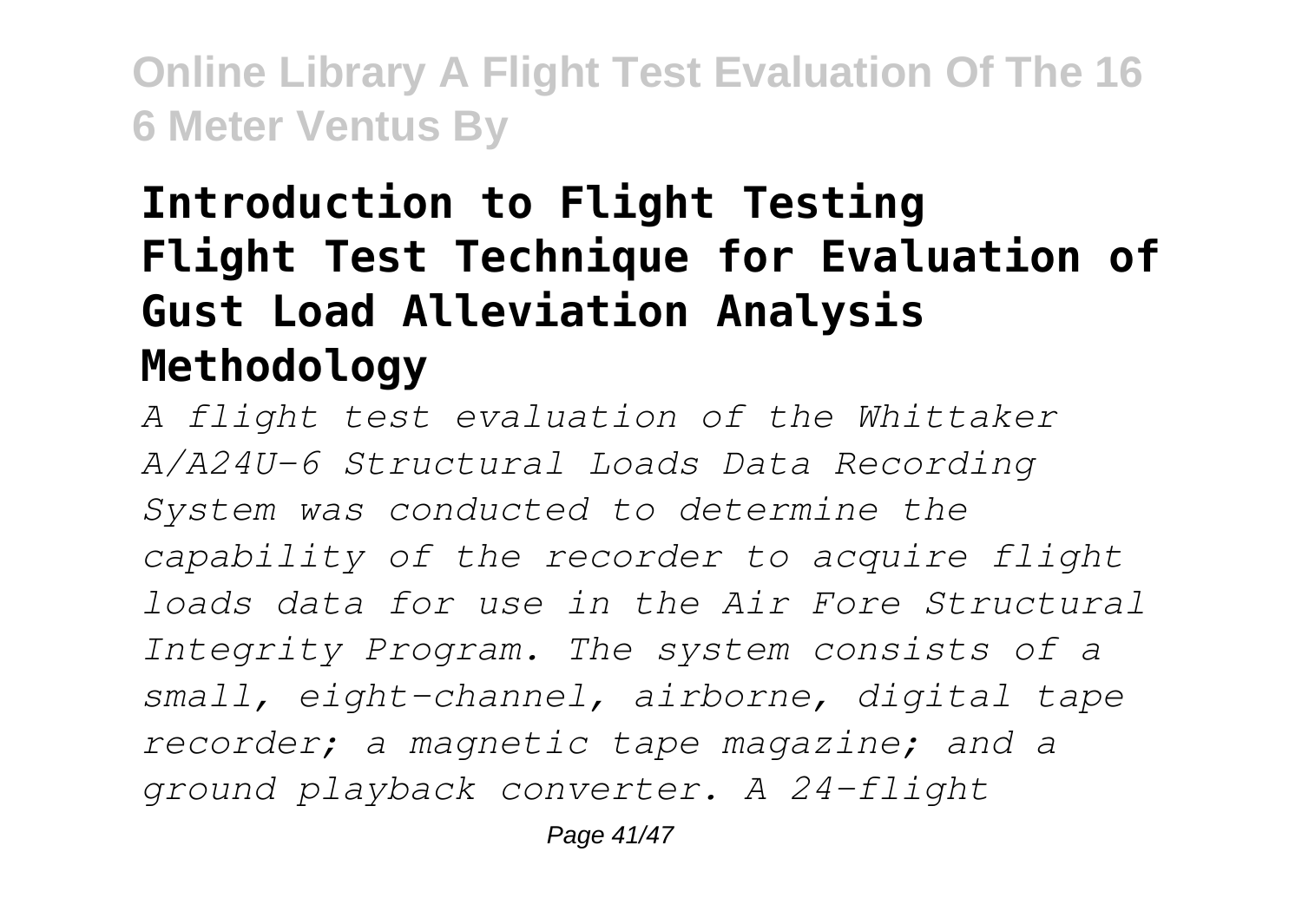## **Introduction to Flight Testing Flight Test Technique for Evaluation of Gust Load Alleviation Analysis Methodology**

*A flight test evaluation of the Whittaker A/A24U-6 Structural Loads Data Recording System was conducted to determine the capability of the recorder to acquire flight loads data for use in the Air Fore Structural Integrity Program. The system consists of a small, eight-channel, airborne, digital tape recorder; a magnetic tape magazine; and a ground playback converter. A 24-flight*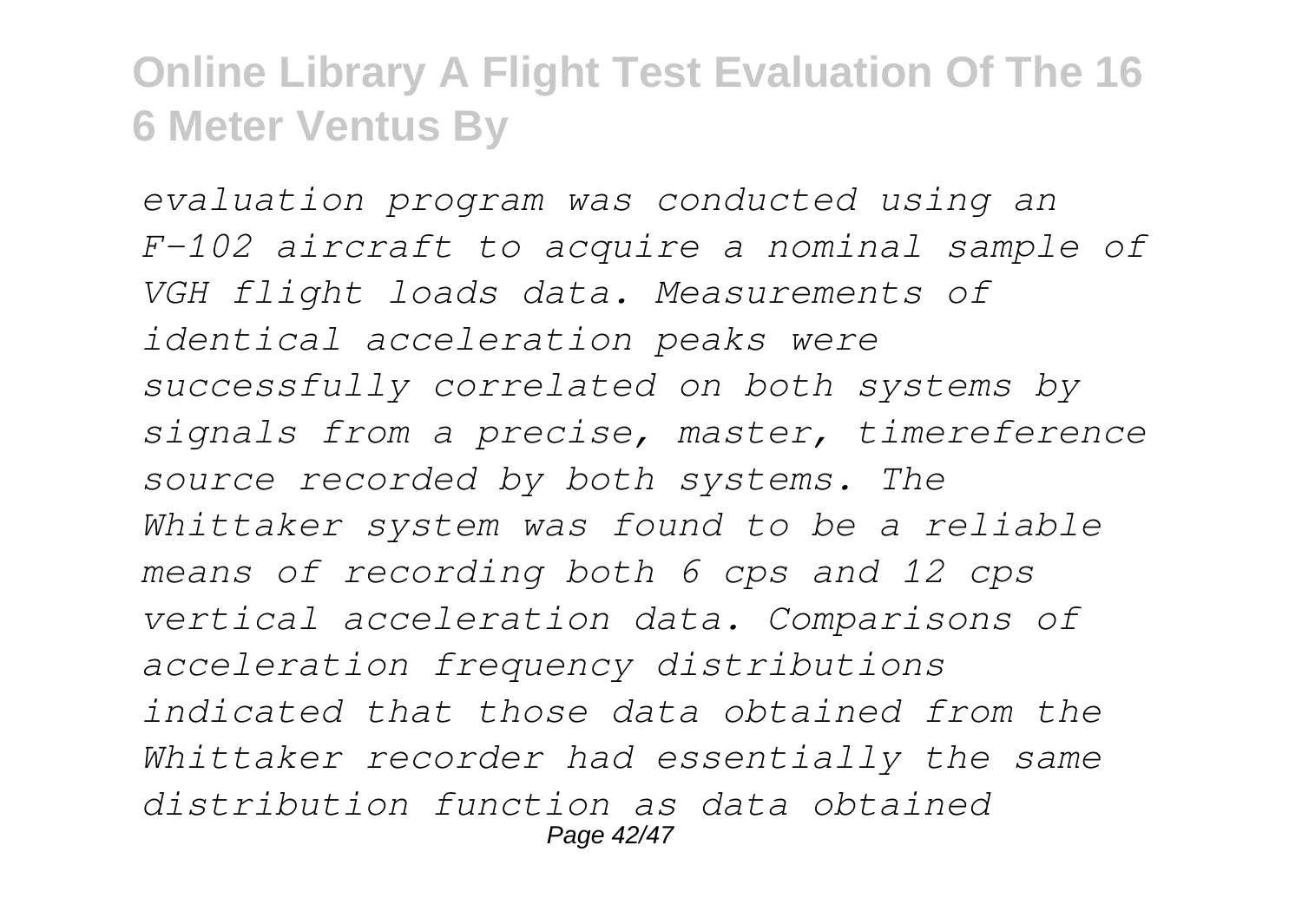*evaluation program was conducted using an F-102 aircraft to acquire a nominal sample of VGH flight loads data. Measurements of identical acceleration peaks were successfully correlated on both systems by signals from a precise, master, timereference source recorded by both systems. The Whittaker system was found to be a reliable means of recording both 6 cps and 12 cps vertical acceleration data. Comparisons of acceleration frequency distributions indicated that those data obtained from the Whittaker recorder had essentially the same distribution function as data obtained* Page 42/47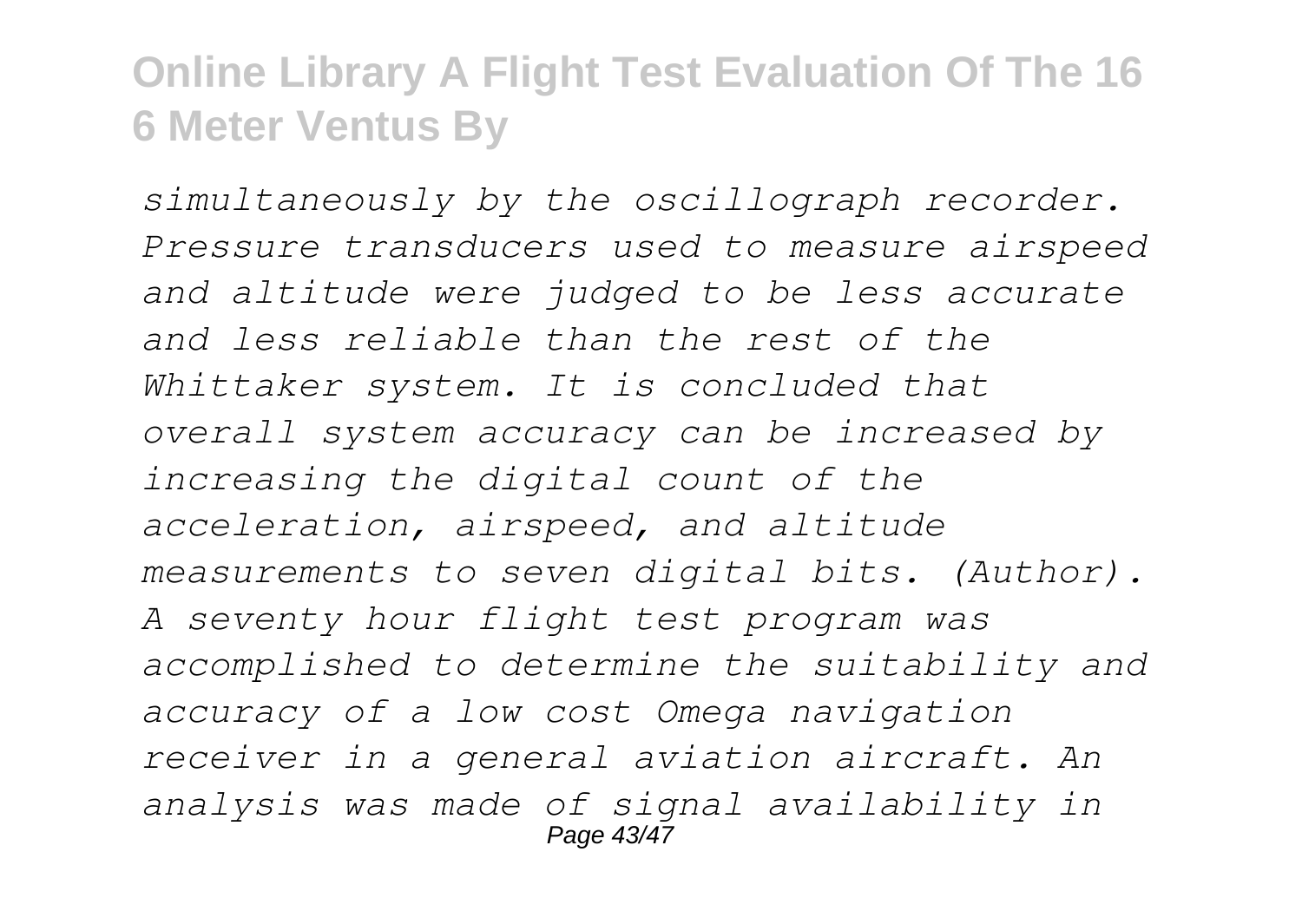*simultaneously by the oscillograph recorder. Pressure transducers used to measure airspeed and altitude were judged to be less accurate and less reliable than the rest of the Whittaker system. It is concluded that overall system accuracy can be increased by increasing the digital count of the acceleration, airspeed, and altitude measurements to seven digital bits. (Author). A seventy hour flight test program was accomplished to determine the suitability and accuracy of a low cost Omega navigation receiver in a general aviation aircraft. An analysis was made of signal availability in* Page 43/4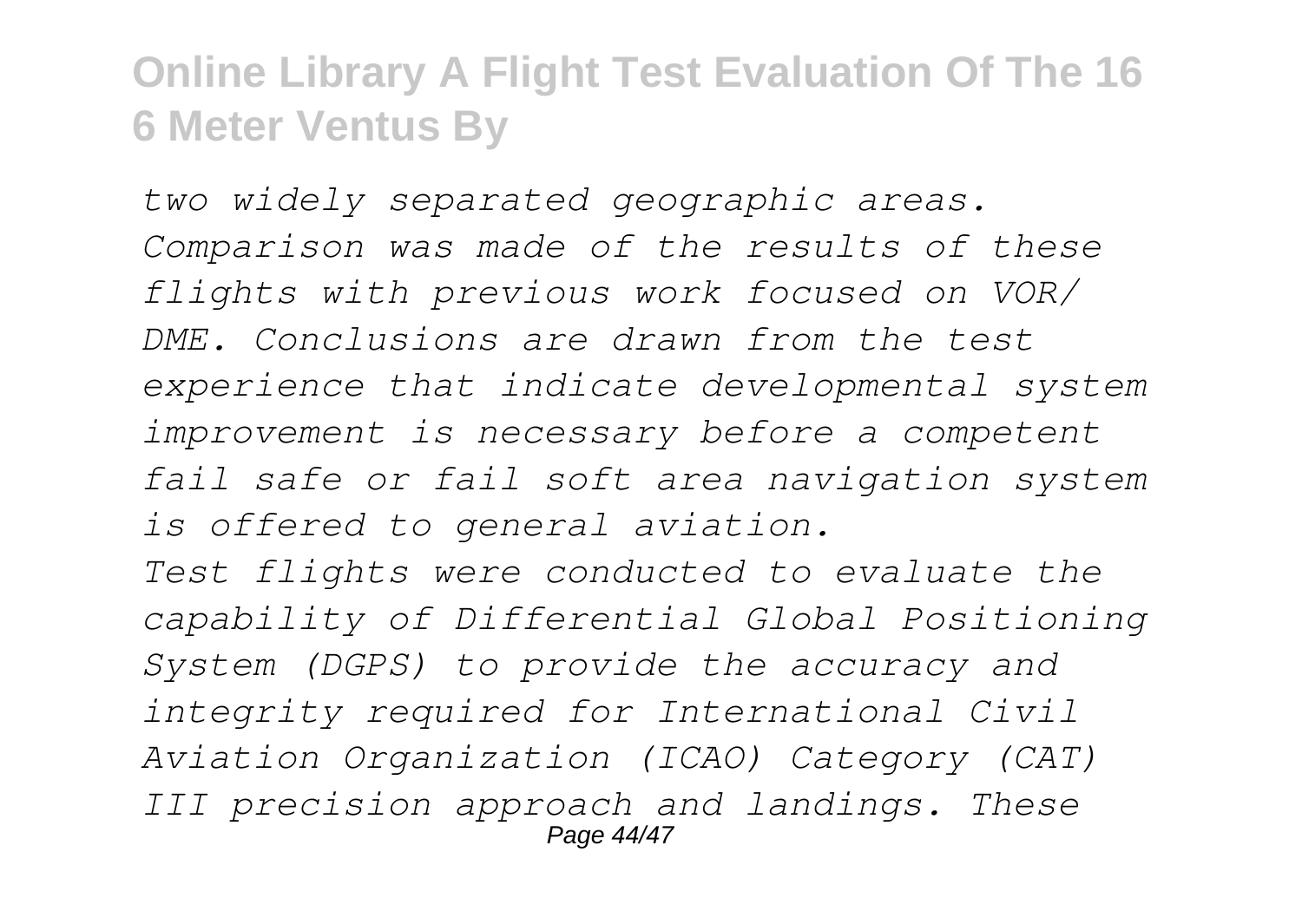*two widely separated geographic areas. Comparison was made of the results of these flights with previous work focused on VOR/ DME. Conclusions are drawn from the test experience that indicate developmental system improvement is necessary before a competent fail safe or fail soft area navigation system is offered to general aviation.*

*Test flights were conducted to evaluate the capability of Differential Global Positioning System (DGPS) to provide the accuracy and integrity required for International Civil Aviation Organization (ICAO) Category (CAT) III precision approach and landings. These* Page 44/47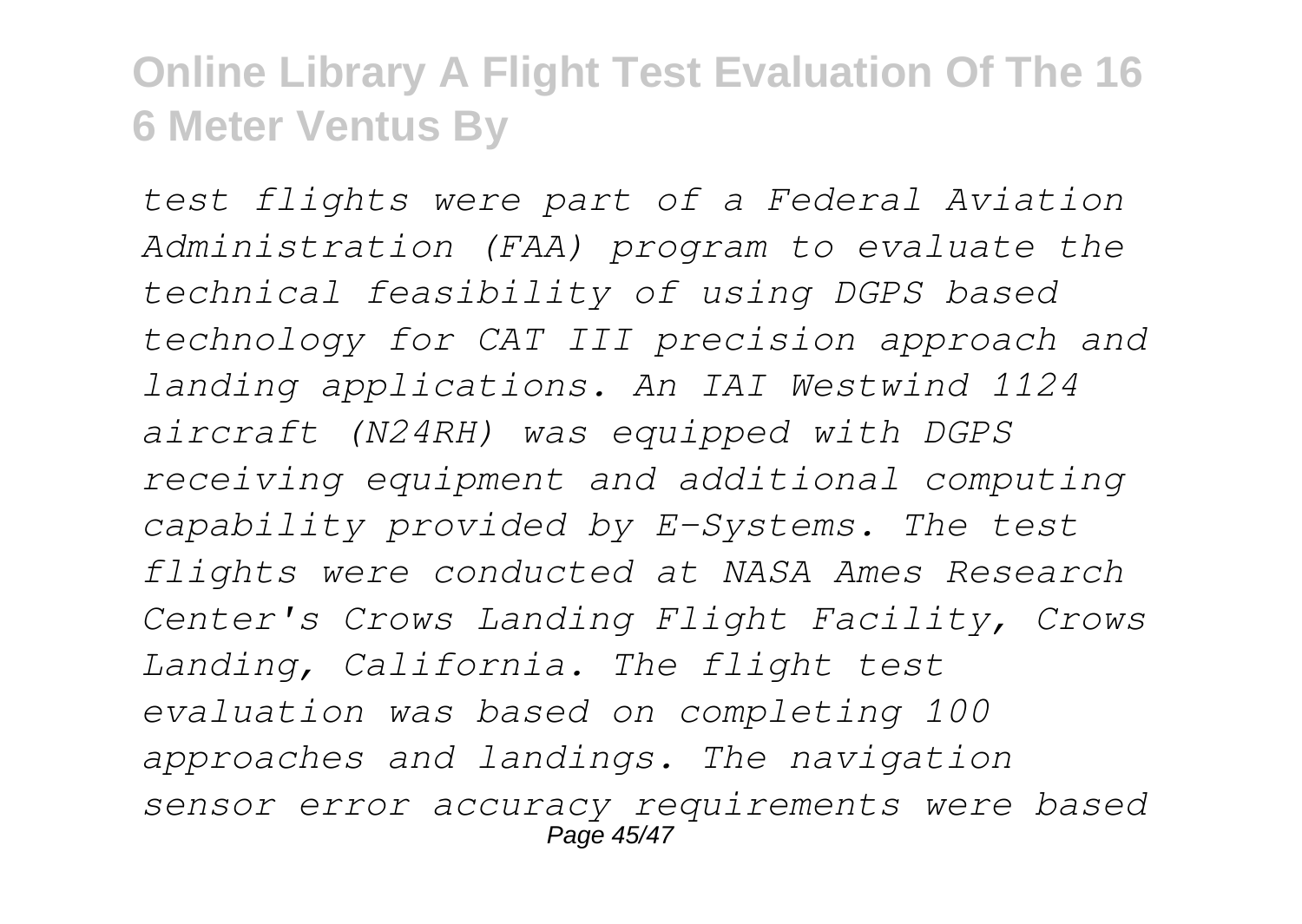*test flights were part of a Federal Aviation Administration (FAA) program to evaluate the technical feasibility of using DGPS based technology for CAT III precision approach and landing applications. An IAI Westwind 1124 aircraft (N24RH) was equipped with DGPS receiving equipment and additional computing capability provided by E-Systems. The test flights were conducted at NASA Ames Research Center's Crows Landing Flight Facility, Crows Landing, California. The flight test evaluation was based on completing 100 approaches and landings. The navigation sensor error accuracy requirements were based* Page 45/47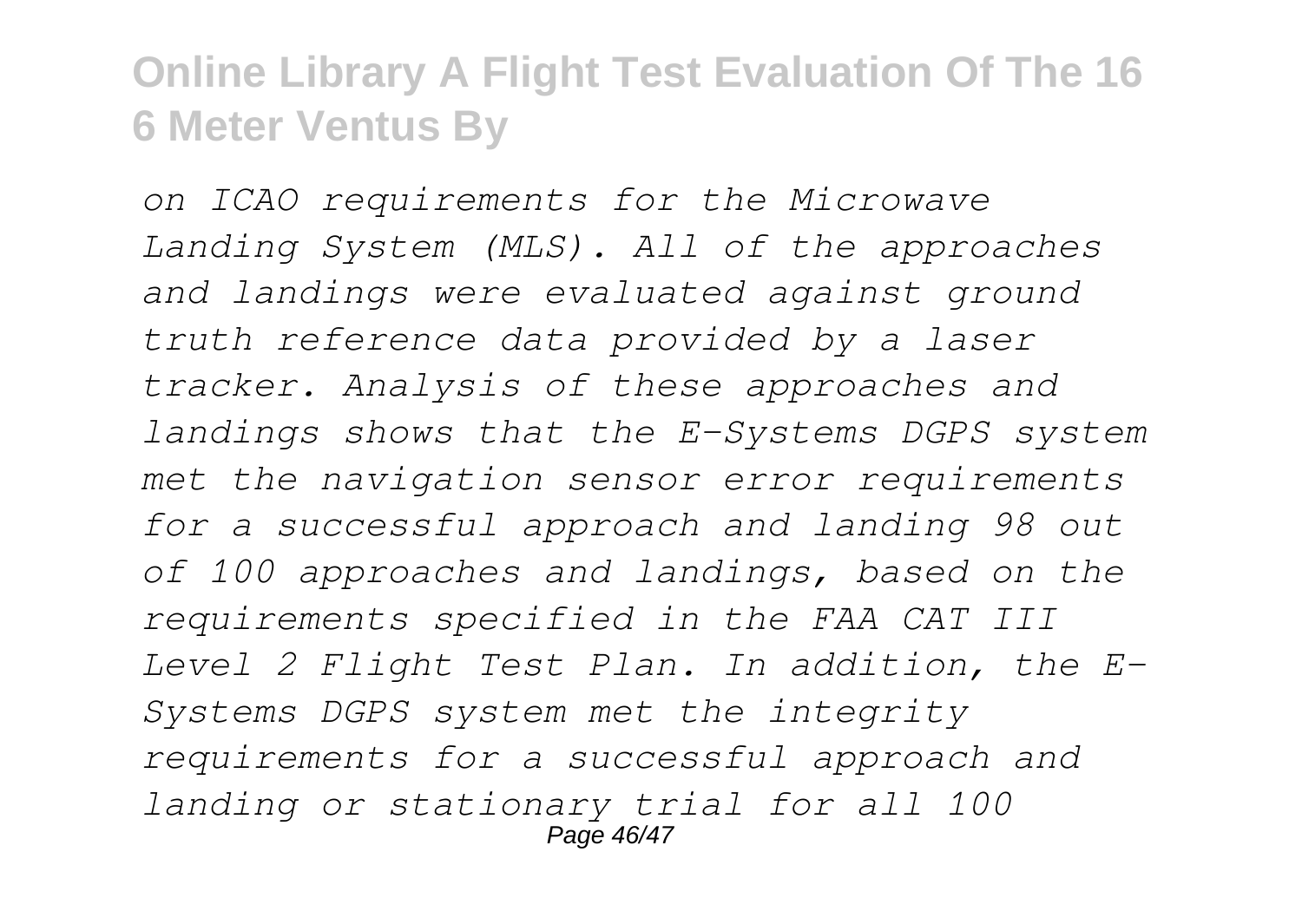*on ICAO requirements for the Microwave Landing System (MLS). All of the approaches and landings were evaluated against ground truth reference data provided by a laser tracker. Analysis of these approaches and landings shows that the E-Systems DGPS system met the navigation sensor error requirements for a successful approach and landing 98 out of 100 approaches and landings, based on the requirements specified in the FAA CAT III Level 2 Flight Test Plan. In addition, the E-Systems DGPS system met the integrity requirements for a successful approach and landing or stationary trial for all 100* Page 46/47